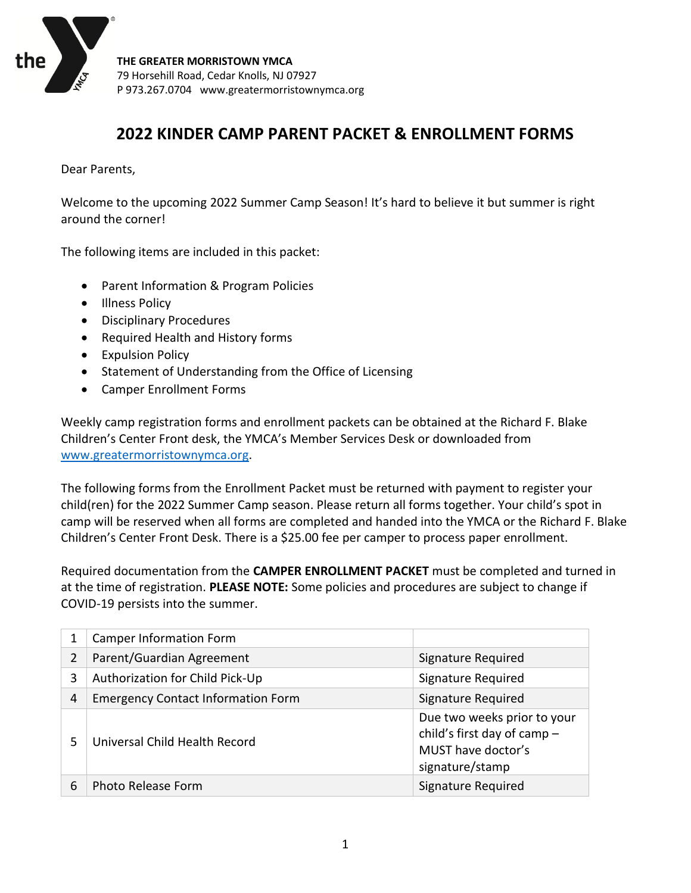

# **2022 KINDER CAMP PARENT PACKET & ENROLLMENT FORMS**

Dear Parents,

Welcome to the upcoming 2022 Summer Camp Season! It's hard to believe it but summer is right around the corner!

The following items are included in this packet:

- Parent Information & Program Policies
- Illness Policy
- Disciplinary Procedures
- Required Health and History forms
- Expulsion Policy
- Statement of Understanding from the Office of Licensing
- Camper Enrollment Forms

Weekly camp registration forms and enrollment packets can be obtained at the Richard F. Blake Children's Center Front desk, the YMCA's Member Services Desk or downloaded from [www.greatermorristownymca.org.](http://www.greatermorristownymca.org/)

The following forms from the Enrollment Packet must be returned with payment to register your child(ren) for the 2022 Summer Camp season. Please return all forms together. Your child's spot in camp will be reserved when all forms are completed and handed into the YMCA or the Richard F. Blake Children's Center Front Desk. There is a \$25.00 fee per camper to process paper enrollment.

Required documentation from the **CAMPER ENROLLMENT PACKET** must be completed and turned in at the time of registration. **PLEASE NOTE:** Some policies and procedures are subject to change if COVID-19 persists into the summer.

|   | <b>Camper Information Form</b>            |                                                                                                     |
|---|-------------------------------------------|-----------------------------------------------------------------------------------------------------|
| 2 | Parent/Guardian Agreement                 | Signature Required                                                                                  |
| 3 | Authorization for Child Pick-Up           | Signature Required                                                                                  |
| 4 | <b>Emergency Contact Information Form</b> | Signature Required                                                                                  |
| 5 | Universal Child Health Record             | Due two weeks prior to your<br>child's first day of camp -<br>MUST have doctor's<br>signature/stamp |
| 6 | <b>Photo Release Form</b>                 | Signature Required                                                                                  |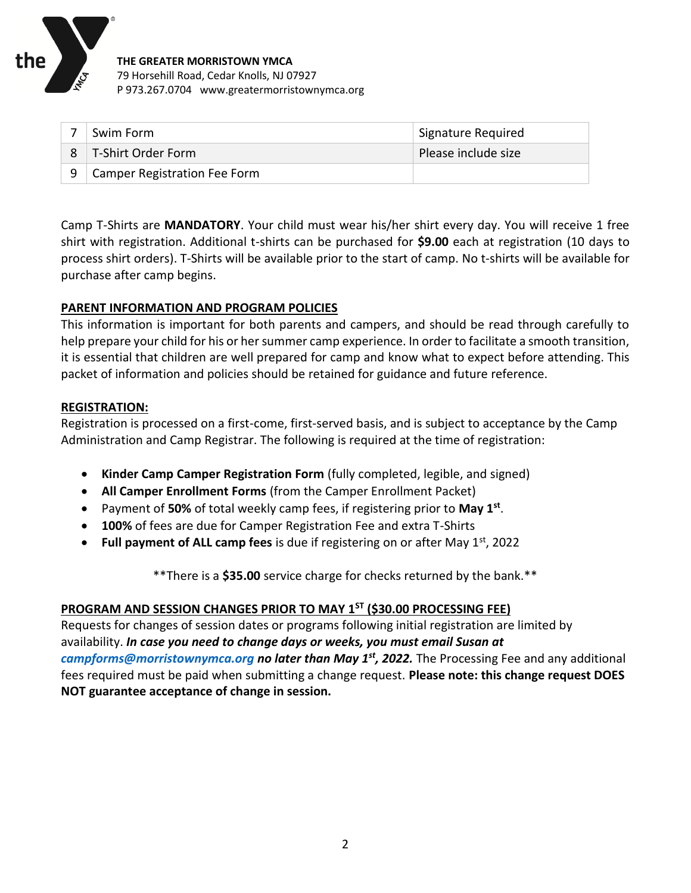

| Swim Form                    | Signature Required  |
|------------------------------|---------------------|
| T-Shirt Order Form           | Please include size |
| Camper Registration Fee Form |                     |

Camp T-Shirts are **MANDATORY**. Your child must wear his/her shirt every day. You will receive 1 free shirt with registration. Additional t-shirts can be purchased for **\$9.00** each at registration (10 days to process shirt orders). T-Shirts will be available prior to the start of camp. No t-shirts will be available for purchase after camp begins.

#### **PARENT INFORMATION AND PROGRAM POLICIES**

This information is important for both parents and campers, and should be read through carefully to help prepare your child for his or her summer camp experience. In order to facilitate a smooth transition, it is essential that children are well prepared for camp and know what to expect before attending. This packet of information and policies should be retained for guidance and future reference.

#### **REGISTRATION:**

Registration is processed on a first-come, first-served basis, and is subject to acceptance by the Camp Administration and Camp Registrar. The following is required at the time of registration:

- **Kinder Camp Camper Registration Form** (fully completed, legible, and signed)
- **All Camper Enrollment Forms** (from the Camper Enrollment Packet)
- Payment of **50%** of total weekly camp fees, if registering prior to **May 1st** .
- **100%** of fees are due for Camper Registration Fee and extra T-Shirts
- Full payment of ALL camp fees is due if registering on or after May 1<sup>st</sup>, 2022

\*\*There is a **\$35.00** service charge for checks returned by the bank.\*\*

#### **PROGRAM AND SESSION CHANGES PRIOR TO MAY 1ST (\$30.00 PROCESSING FEE)**

Requests for changes of session dates or programs following initial registration are limited by availability. *In case you need to change days or weeks, you must email Susan at [campforms@morristownymca.org](mailto:campforms@morristownymca.org) no later than May 1st, 2022.* The Processing Fee and any additional fees required must be paid when submitting a change request. **Please note: this change request DOES NOT guarantee acceptance of change in session.**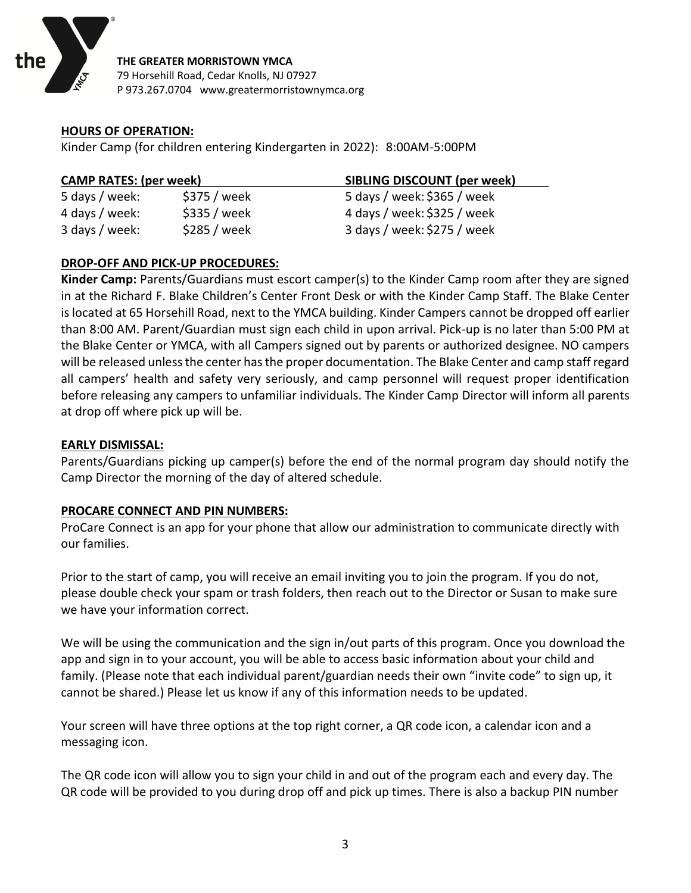

#### **HOURS OF OPERATION:**

Kinder Camp (for children entering Kindergarten in 2022): 8:00AM-5:00PM

| <b>CAMP RATES: (per week)</b> |              | <b>SIBLING DISCOUNT (per week)</b> |
|-------------------------------|--------------|------------------------------------|
| 5 days / week:                | \$375 / week | 5 days / week: \$365 / week        |
| 4 days / week:                | \$335 / week | 4 days / week: \$325 / week        |
| 3 days / week:                | \$285 / week | 3 days / week: \$275 / week        |

#### **DROP-OFF AND PICK-UP PROCEDURES:**

**Kinder Camp:** Parents/Guardians must escort camper(s) to the Kinder Camp room after they are signed in at the Richard F. Blake Children's Center Front Desk or with the Kinder Camp Staff. The Blake Center is located at 65 Horsehill Road, next to the YMCA building. Kinder Campers cannot be dropped off earlier than 8:00 AM. Parent/Guardian must sign each child in upon arrival. Pick-up is no later than 5:00 PM at the Blake Center or YMCA, with all Campers signed out by parents or authorized designee. NO campers will be released unless the center has the proper documentation. The Blake Center and camp staff regard all campers' health and safety very seriously, and camp personnel will request proper identification before releasing any campers to unfamiliar individuals. The Kinder Camp Director will inform all parents at drop off where pick up will be.

#### **EARLY DISMISSAL:**

Parents/Guardians picking up camper(s) before the end of the normal program day should notify the Camp Director the morning of the day of altered schedule.

#### **PROCARE CONNECT AND PIN NUMBERS:**

ProCare Connect is an app for your phone that allow our administration to communicate directly with our families.

Prior to the start of camp, you will receive an email inviting you to join the program. If you do not, please double check your spam or trash folders, then reach out to the Director or Susan to make sure we have your information correct.

We will be using the communication and the sign in/out parts of this program. Once you download the app and sign in to your account, you will be able to access basic information about your child and family. (Please note that each individual parent/guardian needs their own "invite code" to sign up, it cannot be shared.) Please let us know if any of this information needs to be updated.

Your screen will have three options at the top right corner, a QR code icon, a calendar icon and a messaging icon.

The QR code icon will allow you to sign your child in and out of the program each and every day. The QR code will be provided to you during drop off and pick up times. There is also a backup PIN number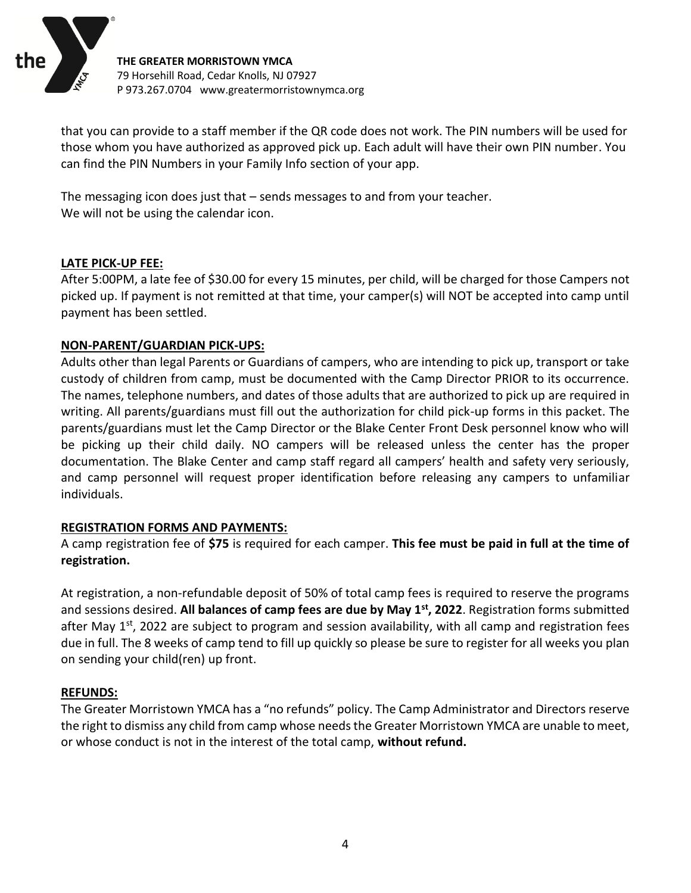

that you can provide to a staff member if the QR code does not work. The PIN numbers will be used for those whom you have authorized as approved pick up. Each adult will have their own PIN number. You can find the PIN Numbers in your Family Info section of your app.

The messaging icon does just that – sends messages to and from your teacher. We will not be using the calendar icon.

#### **LATE PICK-UP FEE:**

After 5:00PM, a late fee of \$30.00 for every 15 minutes, per child, will be charged for those Campers not picked up. If payment is not remitted at that time, your camper(s) will NOT be accepted into camp until payment has been settled.

#### **NON-PARENT/GUARDIAN PICK-UPS:**

Adults other than legal Parents or Guardians of campers, who are intending to pick up, transport or take custody of children from camp, must be documented with the Camp Director PRIOR to its occurrence. The names, telephone numbers, and dates of those adults that are authorized to pick up are required in writing. All parents/guardians must fill out the authorization for child pick-up forms in this packet. The parents/guardians must let the Camp Director or the Blake Center Front Desk personnel know who will be picking up their child daily. NO campers will be released unless the center has the proper documentation. The Blake Center and camp staff regard all campers' health and safety very seriously, and camp personnel will request proper identification before releasing any campers to unfamiliar individuals.

#### **REGISTRATION FORMS AND PAYMENTS:**

A camp registration fee of **\$75** is required for each camper. **This fee must be paid in full at the time of registration.**

At registration, a non-refundable deposit of 50% of total camp fees is required to reserve the programs and sessions desired. **All balances of camp fees are due by May 1st , 2022**. Registration forms submitted after May 1<sup>st</sup>, 2022 are subject to program and session availability, with all camp and registration fees due in full. The 8 weeks of camp tend to fill up quickly so please be sure to register for all weeks you plan on sending your child(ren) up front.

#### **REFUNDS:**

The Greater Morristown YMCA has a "no refunds" policy. The Camp Administrator and Directors reserve the right to dismiss any child from camp whose needs the Greater Morristown YMCA are unable to meet, or whose conduct is not in the interest of the total camp, **without refund.**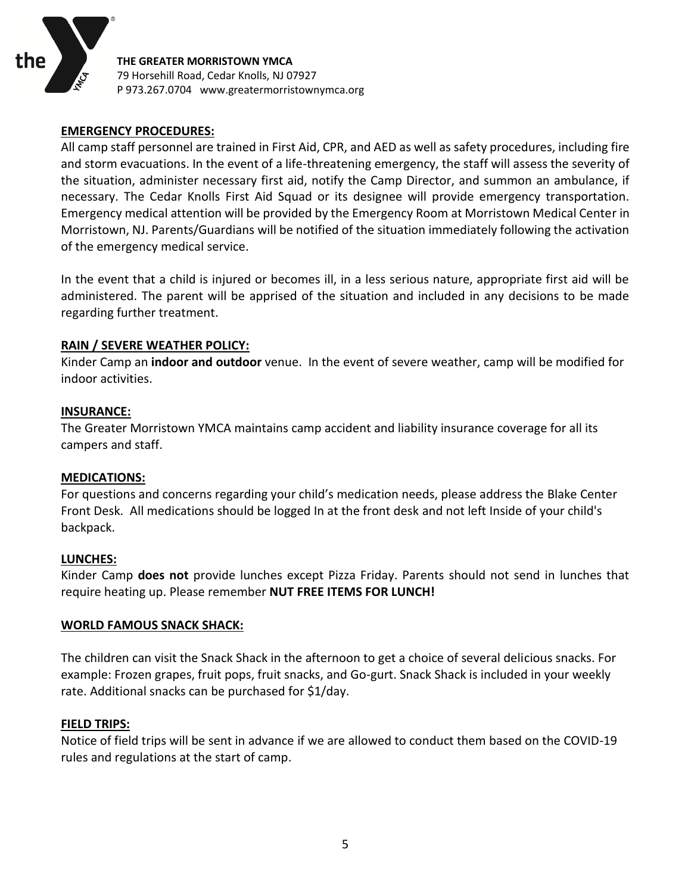

#### **EMERGENCY PROCEDURES:**

All camp staff personnel are trained in First Aid, CPR, and AED as well as safety procedures, including fire and storm evacuations. In the event of a life-threatening emergency, the staff will assess the severity of the situation, administer necessary first aid, notify the Camp Director, and summon an ambulance, if necessary. The Cedar Knolls First Aid Squad or its designee will provide emergency transportation. Emergency medical attention will be provided by the Emergency Room at Morristown Medical Center in Morristown, NJ. Parents/Guardians will be notified of the situation immediately following the activation of the emergency medical service.

In the event that a child is injured or becomes ill, in a less serious nature, appropriate first aid will be administered. The parent will be apprised of the situation and included in any decisions to be made regarding further treatment.

#### **RAIN / SEVERE WEATHER POLICY:**

Kinder Camp an **indoor and outdoor** venue. In the event of severe weather, camp will be modified for indoor activities.

#### **INSURANCE:**

The Greater Morristown YMCA maintains camp accident and liability insurance coverage for all its campers and staff.

#### **MEDICATIONS:**

For questions and concerns regarding your child's medication needs, please address the Blake Center Front Desk. All medications should be logged In at the front desk and not left Inside of your child's backpack.

#### **LUNCHES:**

Kinder Camp **does not** provide lunches except Pizza Friday. Parents should not send in lunches that require heating up. Please remember **NUT FREE ITEMS FOR LUNCH!**

#### **WORLD FAMOUS SNACK SHACK:**

The children can visit the Snack Shack in the afternoon to get a choice of several delicious snacks. For example: Frozen grapes, fruit pops, fruit snacks, and Go-gurt. Snack Shack is included in your weekly rate. Additional snacks can be purchased for \$1/day.

#### **FIELD TRIPS:**

Notice of field trips will be sent in advance if we are allowed to conduct them based on the COVID-19 rules and regulations at the start of camp.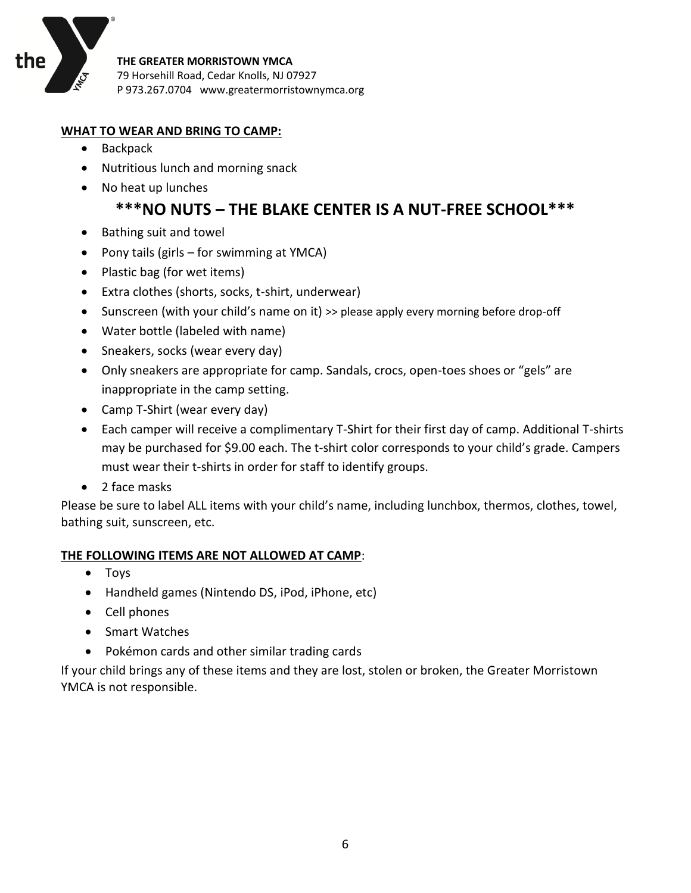

#### **WHAT TO WEAR AND BRING TO CAMP:**

- Backpack
- Nutritious lunch and morning snack
- No heat up lunches

# **\*\*\*NO NUTS – THE BLAKE CENTER IS A NUT-FREE SCHOOL\*\*\***

- Bathing suit and towel
- Pony tails (girls for swimming at YMCA)
- Plastic bag (for wet items)
- Extra clothes (shorts, socks, t-shirt, underwear)
- Sunscreen (with your child's name on it) >> please apply every morning before drop-off
- Water bottle (labeled with name)
- Sneakers, socks (wear every day)
- Only sneakers are appropriate for camp. Sandals, crocs, open-toes shoes or "gels" are inappropriate in the camp setting.
- Camp T-Shirt (wear every day)
- Each camper will receive a complimentary T-Shirt for their first day of camp. Additional T-shirts may be purchased for \$9.00 each. The t-shirt color corresponds to your child's grade. Campers must wear their t-shirts in order for staff to identify groups.
- 2 face masks

Please be sure to label ALL items with your child's name, including lunchbox, thermos, clothes, towel, bathing suit, sunscreen, etc.

#### **THE FOLLOWING ITEMS ARE NOT ALLOWED AT CAMP**:

- Toys
- Handheld games (Nintendo DS, iPod, iPhone, etc)
- Cell phones
- Smart Watches
- Pokémon cards and other similar trading cards

If your child brings any of these items and they are lost, stolen or broken, the Greater Morristown YMCA is not responsible.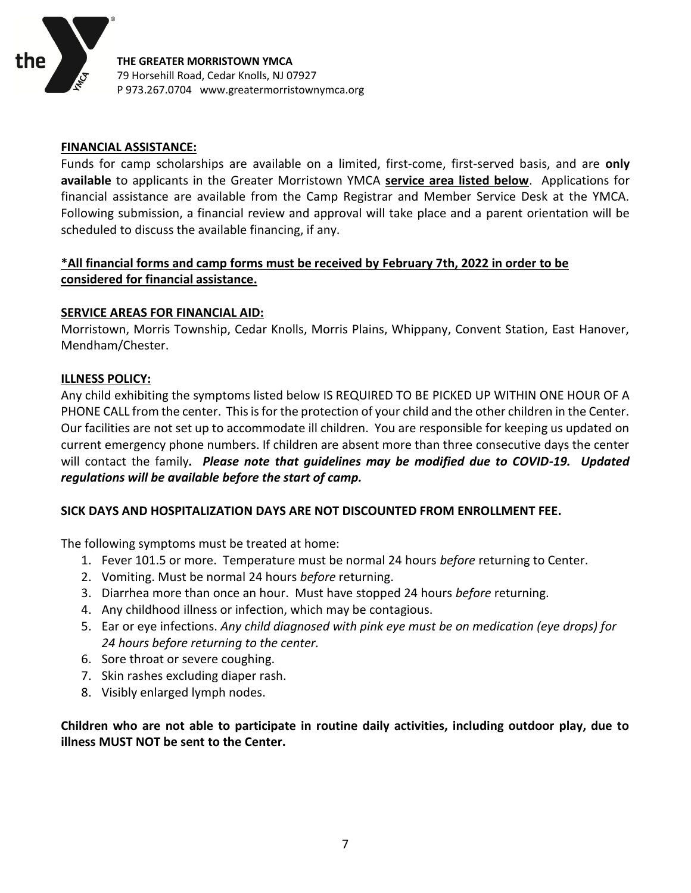

#### **FINANCIAL ASSISTANCE:**

Funds for camp scholarships are available on a limited, first-come, first-served basis, and are **only available** to applicants in the Greater Morristown YMCA **service area listed below**. Applications for financial assistance are available from the Camp Registrar and Member Service Desk at the YMCA. Following submission, a financial review and approval will take place and a parent orientation will be scheduled to discuss the available financing, if any.

## **\*All financial forms and camp forms must be received by February 7th, 2022 in order to be considered for financial assistance.**

#### **SERVICE AREAS FOR FINANCIAL AID:**

Morristown, Morris Township, Cedar Knolls, Morris Plains, Whippany, Convent Station, East Hanover, Mendham/Chester.

#### **ILLNESS POLICY:**

Any child exhibiting the symptoms listed below IS REQUIRED TO BE PICKED UP WITHIN ONE HOUR OF A PHONE CALL from the center. This is for the protection of your child and the other children in the Center. Our facilities are not set up to accommodate ill children. You are responsible for keeping us updated on current emergency phone numbers. If children are absent more than three consecutive days the center will contact the family*. Please note that guidelines may be modified due to COVID-19. Updated regulations will be available before the start of camp.*

#### **SICK DAYS AND HOSPITALIZATION DAYS ARE NOT DISCOUNTED FROM ENROLLMENT FEE.**

The following symptoms must be treated at home:

- 1. Fever 101.5 or more. Temperature must be normal 24 hours *before* returning to Center.
- 2. Vomiting. Must be normal 24 hours *before* returning.
- 3. Diarrhea more than once an hour. Must have stopped 24 hours *before* returning.
- 4. Any childhood illness or infection, which may be contagious.
- 5. Ear or eye infections. *Any child diagnosed with pink eye must be on medication (eye drops) for 24 hours before returning to the center.*
- 6. Sore throat or severe coughing.
- 7. Skin rashes excluding diaper rash.
- 8. Visibly enlarged lymph nodes.

**Children who are not able to participate in routine daily activities, including outdoor play, due to illness MUST NOT be sent to the Center.**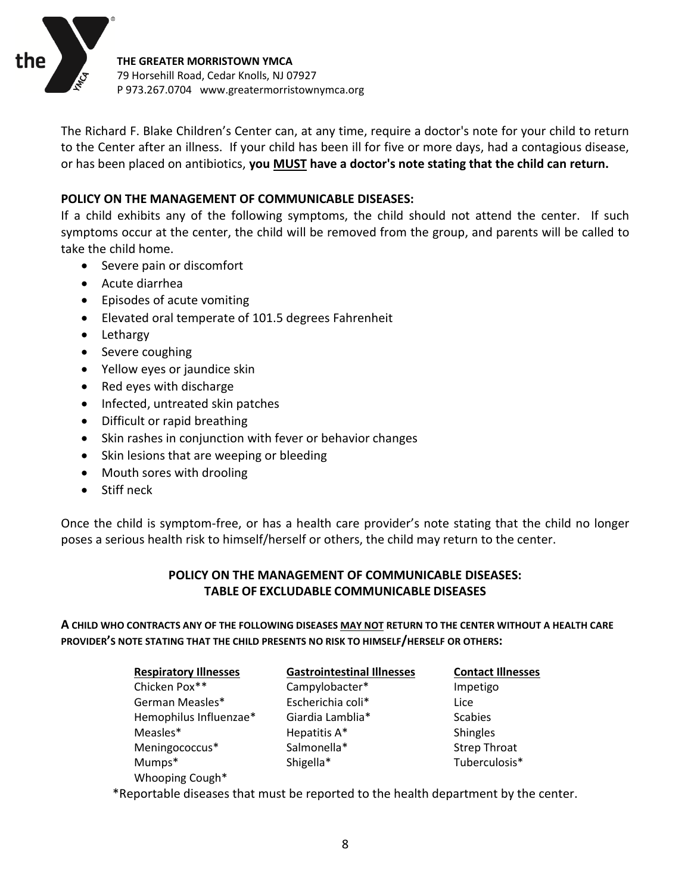

The Richard F. Blake Children's Center can, at any time, require a doctor's note for your child to return to the Center after an illness. If your child has been ill for five or more days, had a contagious disease, or has been placed on antibiotics, **you MUST have a doctor's note stating that the child can return.** 

#### **POLICY ON THE MANAGEMENT OF COMMUNICABLE DISEASES:**

If a child exhibits any of the following symptoms, the child should not attend the center. If such symptoms occur at the center, the child will be removed from the group, and parents will be called to take the child home.

- Severe pain or discomfort
- Acute diarrhea
- Episodes of acute vomiting
- Elevated oral temperate of 101.5 degrees Fahrenheit
- Lethargy
- Severe coughing
- Yellow eyes or jaundice skin
- Red eyes with discharge
- Infected, untreated skin patches
- Difficult or rapid breathing
- Skin rashes in conjunction with fever or behavior changes
- Skin lesions that are weeping or bleeding
- Mouth sores with drooling
- Stiff neck

Once the child is symptom-free, or has a health care provider's note stating that the child no longer poses a serious health risk to himself/herself or others, the child may return to the center.

## **POLICY ON THE MANAGEMENT OF COMMUNICABLE DISEASES: TABLE OF EXCLUDABLE COMMUNICABLE DISEASES**

**A CHILD WHO CONTRACTS ANY OF THE FOLLOWING DISEASES MAY NOT RETURN TO THE CENTER WITHOUT A HEALTH CARE PROVIDER'S NOTE STATING THAT THE CHILD PRESENTS NO RISK TO HIMSELF/HERSELF OR OTHERS:**

| <b>Respiratory Illnesses</b> | <b>Gastrointestinal Illnesses</b> | <b>Contact Illnesses</b> |
|------------------------------|-----------------------------------|--------------------------|
| Chicken Pox**                | Campylobacter*                    | Impetigo                 |
| German Measles*              | Escherichia coli*                 | Lice                     |
| Hemophilus Influenzae*       | Giardia Lamblia*                  | <b>Scabies</b>           |
| Measles*                     | Hepatitis A*                      | <b>Shingles</b>          |
| Meningococcus*               | Salmonella*                       | <b>Strep Throat</b>      |
| Mumps*                       | Shigella*                         | Tuberculosis*            |
| Whooping Cough*              |                                   |                          |

\*Reportable diseases that must be reported to the health department by the center.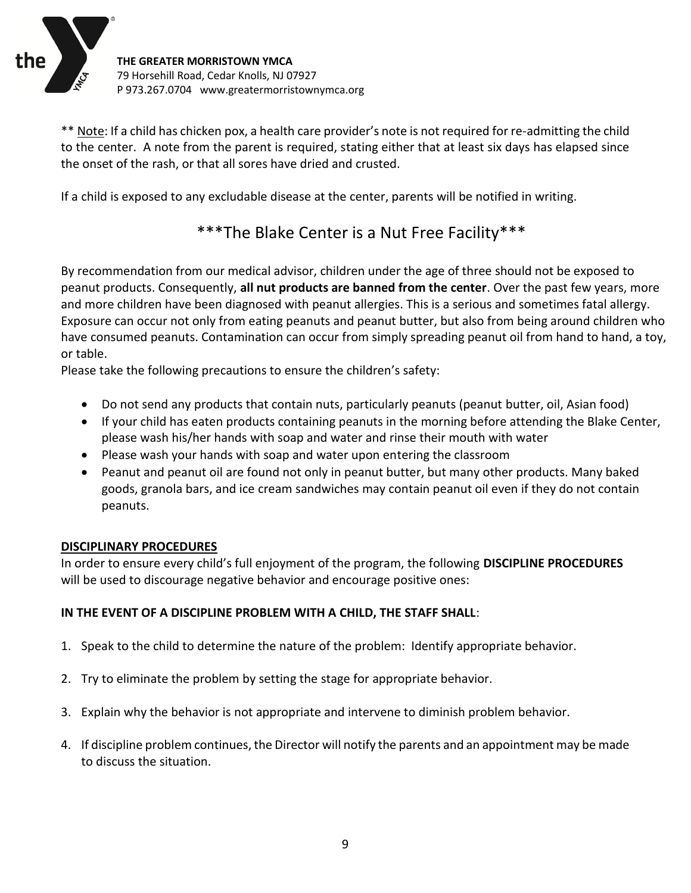

\*\* Note: If a child has chicken pox, a health care provider's note is not required for re-admitting the child to the center. A note from the parent is required, stating either that at least six days has elapsed since the onset of the rash, or that all sores have dried and crusted.

If a child is exposed to any excludable disease at the center, parents will be notified in writing.

# \*\*\*The Blake Center is a Nut Free Facility\*\*\*

By recommendation from our medical advisor, children under the age of three should not be exposed to peanut products. Consequently, **all nut products are banned from the center**. Over the past few years, more and more children have been diagnosed with peanut allergies. This is a serious and sometimes fatal allergy. Exposure can occur not only from eating peanuts and peanut butter, but also from being around children who have consumed peanuts. Contamination can occur from simply spreading peanut oil from hand to hand, a toy, or table.

Please take the following precautions to ensure the children's safety:

- Do not send any products that contain nuts, particularly peanuts (peanut butter, oil, Asian food)
- If your child has eaten products containing peanuts in the morning before attending the Blake Center, please wash his/her hands with soap and water and rinse their mouth with water
- Please wash your hands with soap and water upon entering the classroom
- Peanut and peanut oil are found not only in peanut butter, but many other products. Many baked goods, granola bars, and ice cream sandwiches may contain peanut oil even if they do not contain peanuts.

#### **DISCIPLINARY PROCEDURES**

In order to ensure every child's full enjoyment of the program, the following **DISCIPLINE PROCEDURES** will be used to discourage negative behavior and encourage positive ones:

#### **IN THE EVENT OF A DISCIPLINE PROBLEM WITH A CHILD, THE STAFF SHALL**:

- 1. Speak to the child to determine the nature of the problem: Identify appropriate behavior.
- 2. Try to eliminate the problem by setting the stage for appropriate behavior.
- 3. Explain why the behavior is not appropriate and intervene to diminish problem behavior.
- 4. If discipline problem continues, the Director will notify the parents and an appointment may be made to discuss the situation.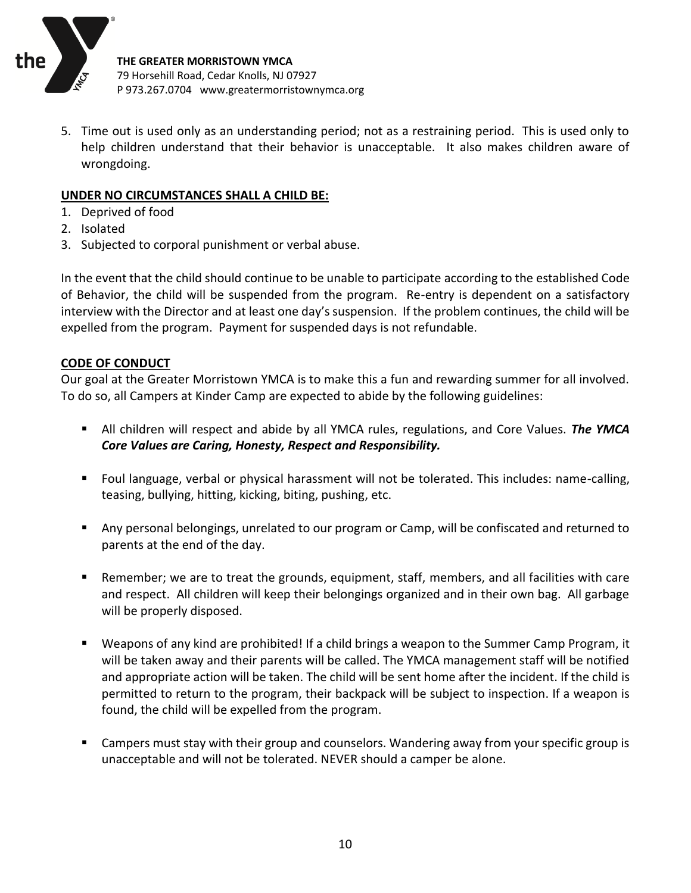

5. Time out is used only as an understanding period; not as a restraining period. This is used only to help children understand that their behavior is unacceptable. It also makes children aware of wrongdoing.

#### **UNDER NO CIRCUMSTANCES SHALL A CHILD BE:**

- 1. Deprived of food
- 2. Isolated
- 3. Subjected to corporal punishment or verbal abuse.

In the event that the child should continue to be unable to participate according to the established Code of Behavior, the child will be suspended from the program. Re-entry is dependent on a satisfactory interview with the Director and at least one day's suspension. If the problem continues, the child will be expelled from the program. Payment for suspended days is not refundable.

#### **CODE OF CONDUCT**

Our goal at the Greater Morristown YMCA is to make this a fun and rewarding summer for all involved. To do so, all Campers at Kinder Camp are expected to abide by the following guidelines:

- **E** All children will respect and abide by all YMCA rules, regulations, and Core Values. *The YMCA Core Values are Caring, Honesty, Respect and Responsibility.*
- Foul language, verbal or physical harassment will not be tolerated. This includes: name-calling, teasing, bullying, hitting, kicking, biting, pushing, etc.
- Any personal belongings, unrelated to our program or Camp, will be confiscated and returned to parents at the end of the day.
- Remember; we are to treat the grounds, equipment, staff, members, and all facilities with care and respect. All children will keep their belongings organized and in their own bag. All garbage will be properly disposed.
- Weapons of any kind are prohibited! If a child brings a weapon to the Summer Camp Program, it will be taken away and their parents will be called. The YMCA management staff will be notified and appropriate action will be taken. The child will be sent home after the incident. If the child is permitted to return to the program, their backpack will be subject to inspection. If a weapon is found, the child will be expelled from the program.
- Campers must stay with their group and counselors. Wandering away from your specific group is unacceptable and will not be tolerated. NEVER should a camper be alone.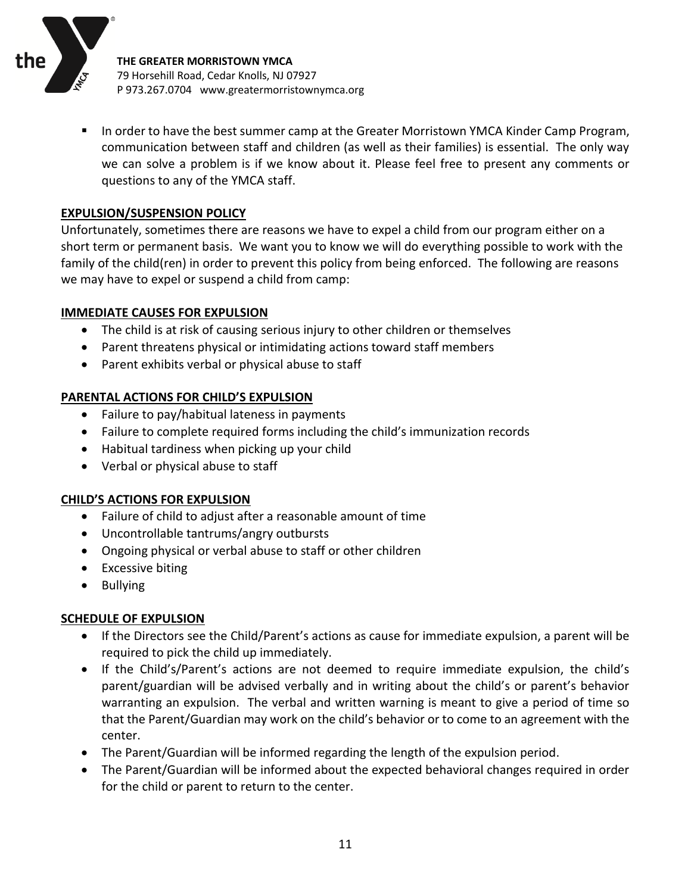

**■** In order to have the best summer camp at the Greater Morristown YMCA Kinder Camp Program, communication between staff and children (as well as their families) is essential. The only way we can solve a problem is if we know about it. Please feel free to present any comments or questions to any of the YMCA staff.

#### **EXPULSION/SUSPENSION POLICY**

Unfortunately, sometimes there are reasons we have to expel a child from our program either on a short term or permanent basis. We want you to know we will do everything possible to work with the family of the child(ren) in order to prevent this policy from being enforced. The following are reasons we may have to expel or suspend a child from camp:

#### **IMMEDIATE CAUSES FOR EXPULSION**

- The child is at risk of causing serious injury to other children or themselves
- Parent threatens physical or intimidating actions toward staff members
- Parent exhibits verbal or physical abuse to staff

#### **PARENTAL ACTIONS FOR CHILD'S EXPULSION**

- Failure to pay/habitual lateness in payments
- Failure to complete required forms including the child's immunization records
- Habitual tardiness when picking up your child
- Verbal or physical abuse to staff

#### **CHILD'S ACTIONS FOR EXPULSION**

- Failure of child to adjust after a reasonable amount of time
- Uncontrollable tantrums/angry outbursts
- Ongoing physical or verbal abuse to staff or other children
- Excessive biting
- Bullying

#### **SCHEDULE OF EXPULSION**

- If the Directors see the Child/Parent's actions as cause for immediate expulsion, a parent will be required to pick the child up immediately.
- If the Child's/Parent's actions are not deemed to require immediate expulsion, the child's parent/guardian will be advised verbally and in writing about the child's or parent's behavior warranting an expulsion. The verbal and written warning is meant to give a period of time so that the Parent/Guardian may work on the child's behavior or to come to an agreement with the center.
- The Parent/Guardian will be informed regarding the length of the expulsion period.
- The Parent/Guardian will be informed about the expected behavioral changes required in order for the child or parent to return to the center.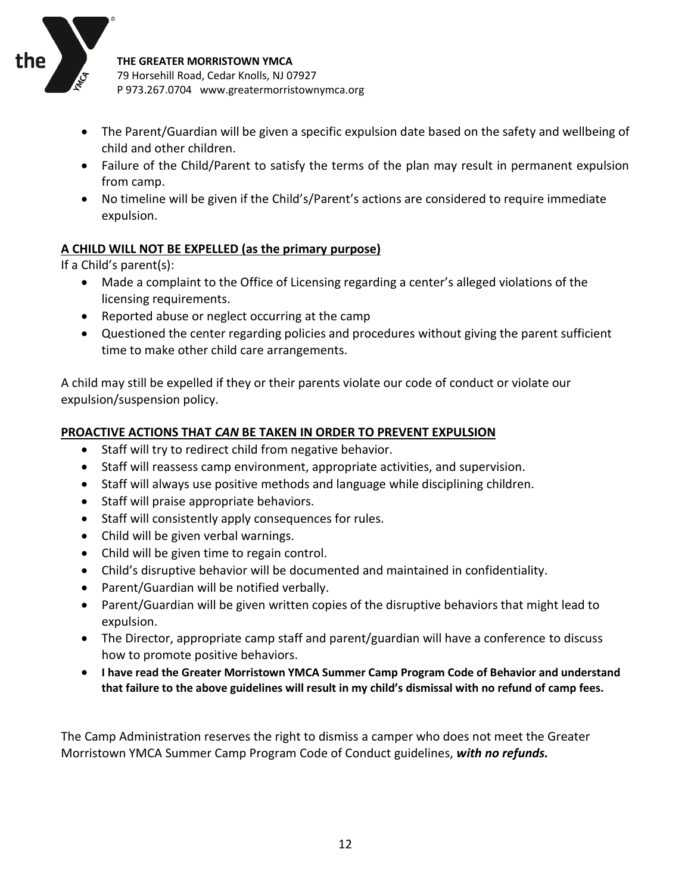

- The Parent/Guardian will be given a specific expulsion date based on the safety and wellbeing of child and other children.
- Failure of the Child/Parent to satisfy the terms of the plan may result in permanent expulsion from camp.
- No timeline will be given if the Child's/Parent's actions are considered to require immediate expulsion.

## **A CHILD WILL NOT BE EXPELLED (as the primary purpose)**

If a Child's parent(s):

- Made a complaint to the Office of Licensing regarding a center's alleged violations of the licensing requirements.
- Reported abuse or neglect occurring at the camp
- Questioned the center regarding policies and procedures without giving the parent sufficient time to make other child care arrangements.

A child may still be expelled if they or their parents violate our code of conduct or violate our expulsion/suspension policy.

#### **PROACTIVE ACTIONS THAT** *CAN* **BE TAKEN IN ORDER TO PREVENT EXPULSION**

- Staff will try to redirect child from negative behavior.
- Staff will reassess camp environment, appropriate activities, and supervision.
- Staff will always use positive methods and language while disciplining children.
- Staff will praise appropriate behaviors.
- Staff will consistently apply consequences for rules.
- Child will be given verbal warnings.
- Child will be given time to regain control.
- Child's disruptive behavior will be documented and maintained in confidentiality.
- Parent/Guardian will be notified verbally.
- Parent/Guardian will be given written copies of the disruptive behaviors that might lead to expulsion.
- The Director, appropriate camp staff and parent/guardian will have a conference to discuss how to promote positive behaviors.
- **I have read the Greater Morristown YMCA Summer Camp Program Code of Behavior and understand that failure to the above guidelines will result in my child's dismissal with no refund of camp fees.**

The Camp Administration reserves the right to dismiss a camper who does not meet the Greater Morristown YMCA Summer Camp Program Code of Conduct guidelines, *with no refunds.*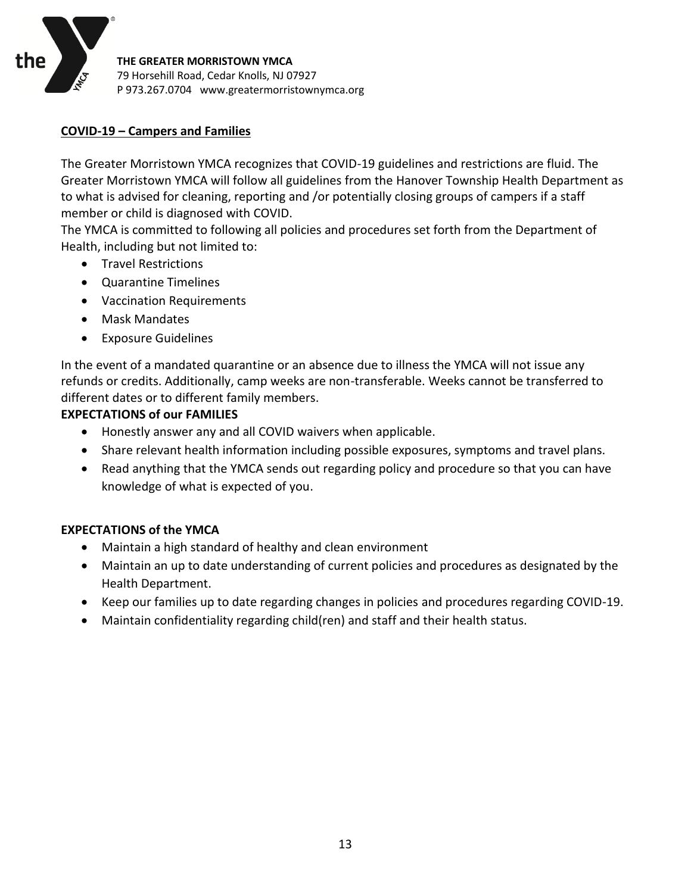

#### **COVID-19 – Campers and Families**

The Greater Morristown YMCA recognizes that COVID-19 guidelines and restrictions are fluid. The Greater Morristown YMCA will follow all guidelines from the Hanover Township Health Department as to what is advised for cleaning, reporting and /or potentially closing groups of campers if a staff member or child is diagnosed with COVID.

The YMCA is committed to following all policies and procedures set forth from the Department of Health, including but not limited to:

- Travel Restrictions
- Quarantine Timelines
- Vaccination Requirements
- Mask Mandates
- Exposure Guidelines

In the event of a mandated quarantine or an absence due to illness the YMCA will not issue any refunds or credits. Additionally, camp weeks are non-transferable. Weeks cannot be transferred to different dates or to different family members.

#### **EXPECTATIONS of our FAMILIES**

- Honestly answer any and all COVID waivers when applicable.
- Share relevant health information including possible exposures, symptoms and travel plans.
- Read anything that the YMCA sends out regarding policy and procedure so that you can have knowledge of what is expected of you.

#### **EXPECTATIONS of the YMCA**

- Maintain a high standard of healthy and clean environment
- Maintain an up to date understanding of current policies and procedures as designated by the Health Department.
- Keep our families up to date regarding changes in policies and procedures regarding COVID-19.
- Maintain confidentiality regarding child(ren) and staff and their health status.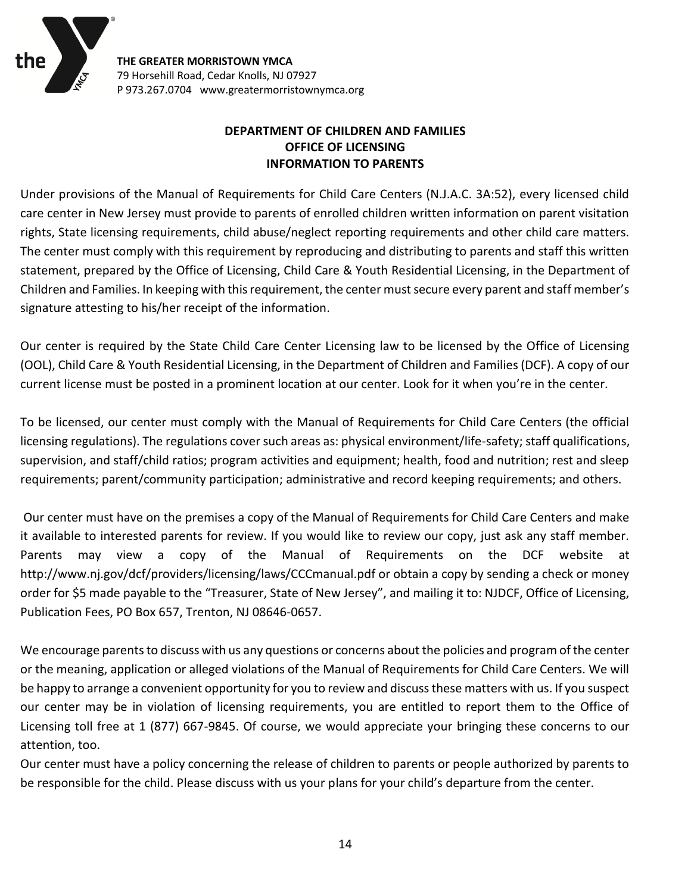

## **DEPARTMENT OF CHILDREN AND FAMILIES OFFICE OF LICENSING INFORMATION TO PARENTS**

Under provisions of the Manual of Requirements for Child Care Centers (N.J.A.C. 3A:52), every licensed child care center in New Jersey must provide to parents of enrolled children written information on parent visitation rights, State licensing requirements, child abuse/neglect reporting requirements and other child care matters. The center must comply with this requirement by reproducing and distributing to parents and staff this written statement, prepared by the Office of Licensing, Child Care & Youth Residential Licensing, in the Department of Children and Families. In keeping with this requirement, the center must secure every parent and staff member's signature attesting to his/her receipt of the information.

Our center is required by the State Child Care Center Licensing law to be licensed by the Office of Licensing (OOL), Child Care & Youth Residential Licensing, in the Department of Children and Families (DCF). A copy of our current license must be posted in a prominent location at our center. Look for it when you're in the center.

To be licensed, our center must comply with the Manual of Requirements for Child Care Centers (the official licensing regulations). The regulations cover such areas as: physical environment/life-safety; staff qualifications, supervision, and staff/child ratios; program activities and equipment; health, food and nutrition; rest and sleep requirements; parent/community participation; administrative and record keeping requirements; and others.

Our center must have on the premises a copy of the Manual of Requirements for Child Care Centers and make it available to interested parents for review. If you would like to review our copy, just ask any staff member. Parents may view a copy of the Manual of Requirements on the DCF website at http://www.nj.gov/dcf/providers/licensing/laws/CCCmanual.pdf or obtain a copy by sending a check or money order for \$5 made payable to the "Treasurer, State of New Jersey", and mailing it to: NJDCF, Office of Licensing, Publication Fees, PO Box 657, Trenton, NJ 08646-0657.

We encourage parents to discuss with us any questions or concerns about the policies and program of the center or the meaning, application or alleged violations of the Manual of Requirements for Child Care Centers. We will be happy to arrange a convenient opportunity for you to review and discuss these matters with us. If you suspect our center may be in violation of licensing requirements, you are entitled to report them to the Office of Licensing toll free at 1 (877) 667-9845. Of course, we would appreciate your bringing these concerns to our attention, too.

Our center must have a policy concerning the release of children to parents or people authorized by parents to be responsible for the child. Please discuss with us your plans for your child's departure from the center.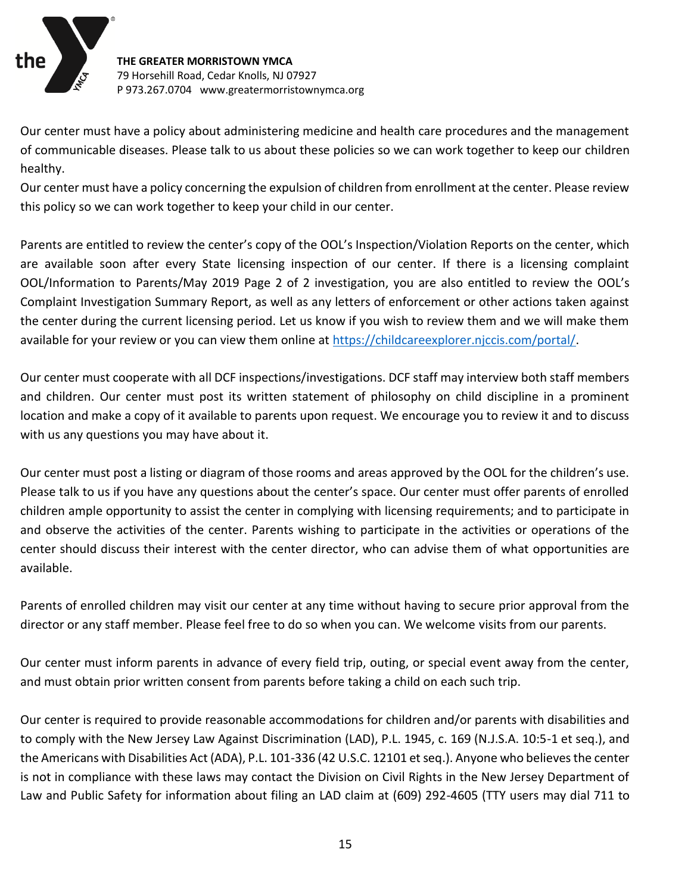

Our center must have a policy about administering medicine and health care procedures and the management of communicable diseases. Please talk to us about these policies so we can work together to keep our children healthy.

Our center must have a policy concerning the expulsion of children from enrollment at the center. Please review this policy so we can work together to keep your child in our center.

Parents are entitled to review the center's copy of the OOL's Inspection/Violation Reports on the center, which are available soon after every State licensing inspection of our center. If there is a licensing complaint OOL/Information to Parents/May 2019 Page 2 of 2 investigation, you are also entitled to review the OOL's Complaint Investigation Summary Report, as well as any letters of enforcement or other actions taken against the center during the current licensing period. Let us know if you wish to review them and we will make them available for your review or you can view them online at [https://childcareexplorer.njccis.com/portal/.](https://childcareexplorer.njccis.com/portal/)

Our center must cooperate with all DCF inspections/investigations. DCF staff may interview both staff members and children. Our center must post its written statement of philosophy on child discipline in a prominent location and make a copy of it available to parents upon request. We encourage you to review it and to discuss with us any questions you may have about it.

Our center must post a listing or diagram of those rooms and areas approved by the OOL for the children's use. Please talk to us if you have any questions about the center's space. Our center must offer parents of enrolled children ample opportunity to assist the center in complying with licensing requirements; and to participate in and observe the activities of the center. Parents wishing to participate in the activities or operations of the center should discuss their interest with the center director, who can advise them of what opportunities are available.

Parents of enrolled children may visit our center at any time without having to secure prior approval from the director or any staff member. Please feel free to do so when you can. We welcome visits from our parents.

Our center must inform parents in advance of every field trip, outing, or special event away from the center, and must obtain prior written consent from parents before taking a child on each such trip.

Our center is required to provide reasonable accommodations for children and/or parents with disabilities and to comply with the New Jersey Law Against Discrimination (LAD), P.L. 1945, c. 169 (N.J.S.A. 10:5-1 et seq.), and the Americans with Disabilities Act (ADA), P.L. 101-336 (42 U.S.C. 12101 et seq.). Anyone who believes the center is not in compliance with these laws may contact the Division on Civil Rights in the New Jersey Department of Law and Public Safety for information about filing an LAD claim at (609) 292-4605 (TTY users may dial 711 to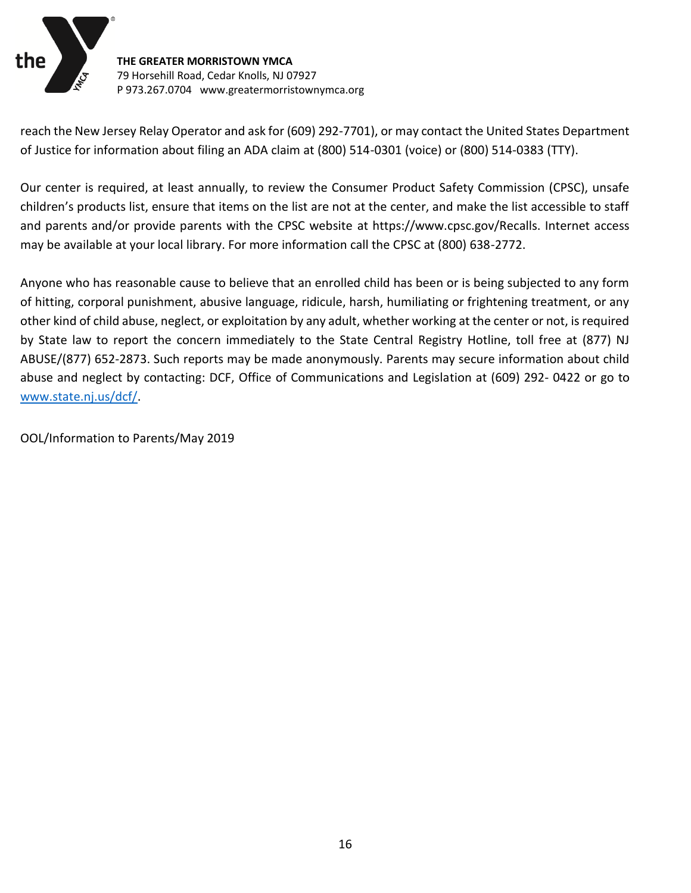

reach the New Jersey Relay Operator and ask for (609) 292-7701), or may contact the United States Department of Justice for information about filing an ADA claim at (800) 514-0301 (voice) or (800) 514-0383 (TTY).

Our center is required, at least annually, to review the Consumer Product Safety Commission (CPSC), unsafe children's products list, ensure that items on the list are not at the center, and make the list accessible to staff and parents and/or provide parents with the CPSC website at https://www.cpsc.gov/Recalls. Internet access may be available at your local library. For more information call the CPSC at (800) 638-2772.

Anyone who has reasonable cause to believe that an enrolled child has been or is being subjected to any form of hitting, corporal punishment, abusive language, ridicule, harsh, humiliating or frightening treatment, or any other kind of child abuse, neglect, or exploitation by any adult, whether working at the center or not, is required by State law to report the concern immediately to the State Central Registry Hotline, toll free at (877) NJ ABUSE/(877) 652-2873. Such reports may be made anonymously. Parents may secure information about child abuse and neglect by contacting: DCF, Office of Communications and Legislation at (609) 292- 0422 or go to [www.state.nj.us/dcf/.](http://www.state.nj.us/dcf/)

OOL/Information to Parents/May 2019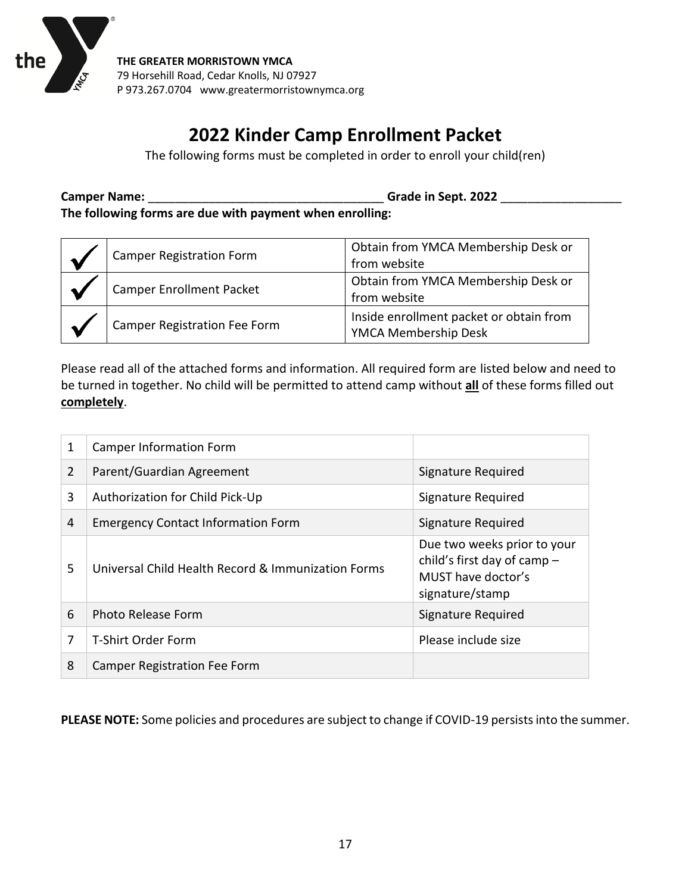

# **2022 Kinder Camp Enrollment Packet**

The following forms must be completed in order to enroll your child(ren)

**Camper Name:** \_\_\_\_\_\_\_\_\_\_\_\_\_\_\_\_\_\_\_\_\_\_\_\_\_\_\_\_\_\_\_\_\_\_\_ **Grade in Sept. 2022** \_\_\_\_\_\_\_\_\_\_\_\_\_\_\_\_\_\_ **The following forms are due with payment when enrolling:**

| Camper Registration Form            | Obtain from YMCA Membership Desk or<br>from website             |
|-------------------------------------|-----------------------------------------------------------------|
| Camper Enrollment Packet            | Obtain from YMCA Membership Desk or<br>from website             |
| <b>Camper Registration Fee Form</b> | Inside enrollment packet or obtain from<br>YMCA Membership Desk |

Please read all of the attached forms and information. All required form are listed below and need to be turned in together. No child will be permitted to attend camp without **all** of these forms filled out **completely**.

| 1              | <b>Camper Information Form</b>                     |                                                                                                     |
|----------------|----------------------------------------------------|-----------------------------------------------------------------------------------------------------|
| $\overline{2}$ | Parent/Guardian Agreement                          | Signature Required                                                                                  |
| 3              | Authorization for Child Pick-Up                    | Signature Required                                                                                  |
| 4              | <b>Emergency Contact Information Form</b>          | Signature Required                                                                                  |
| 5              | Universal Child Health Record & Immunization Forms | Due two weeks prior to your<br>child's first day of camp -<br>MUST have doctor's<br>signature/stamp |
| 6              | Photo Release Form                                 | Signature Required                                                                                  |
| 7              | T-Shirt Order Form                                 | Please include size                                                                                 |
| 8              | Camper Registration Fee Form                       |                                                                                                     |

**PLEASE NOTE:** Some policies and procedures are subject to change if COVID-19 persists into the summer.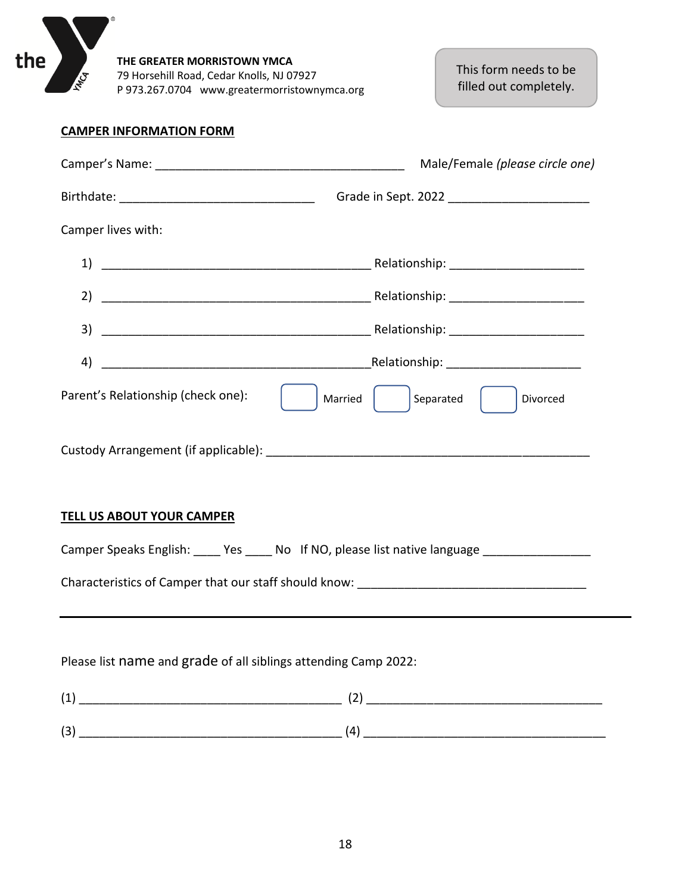

This form needs to be filled out completely.

#### **CAMPER INFORMATION FORM**

|                                                                                                                                                                                                                                                                                                                                                                                                                                                                                                                              | Male/Female (please circle one)                                                              |
|------------------------------------------------------------------------------------------------------------------------------------------------------------------------------------------------------------------------------------------------------------------------------------------------------------------------------------------------------------------------------------------------------------------------------------------------------------------------------------------------------------------------------|----------------------------------------------------------------------------------------------|
|                                                                                                                                                                                                                                                                                                                                                                                                                                                                                                                              |                                                                                              |
| Camper lives with:                                                                                                                                                                                                                                                                                                                                                                                                                                                                                                           |                                                                                              |
|                                                                                                                                                                                                                                                                                                                                                                                                                                                                                                                              |                                                                                              |
|                                                                                                                                                                                                                                                                                                                                                                                                                                                                                                                              |                                                                                              |
|                                                                                                                                                                                                                                                                                                                                                                                                                                                                                                                              |                                                                                              |
| 4)                                                                                                                                                                                                                                                                                                                                                                                                                                                                                                                           |                                                                                              |
| Parent's Relationship (check one):                                                                                                                                                                                                                                                                                                                                                                                                                                                                                           | Married     Separated    <br>Divorced                                                        |
|                                                                                                                                                                                                                                                                                                                                                                                                                                                                                                                              |                                                                                              |
| <b>TELL US ABOUT YOUR CAMPER</b>                                                                                                                                                                                                                                                                                                                                                                                                                                                                                             |                                                                                              |
|                                                                                                                                                                                                                                                                                                                                                                                                                                                                                                                              | Camper Speaks English: _____ Yes _____ No If NO, please list native language _______________ |
|                                                                                                                                                                                                                                                                                                                                                                                                                                                                                                                              |                                                                                              |
|                                                                                                                                                                                                                                                                                                                                                                                                                                                                                                                              |                                                                                              |
| Please list name and grade of all siblings attending Camp 2022:                                                                                                                                                                                                                                                                                                                                                                                                                                                              |                                                                                              |
| $\begin{equation} \begin{equation} \begin{bmatrix} 1 \end{bmatrix} & \begin{bmatrix} 1 \end{bmatrix} & \begin{bmatrix} 1 \end{bmatrix} & \begin{bmatrix} 1 \end{bmatrix} & \begin{bmatrix} 1 \end{bmatrix} & \begin{bmatrix} 1 \end{bmatrix} & \begin{bmatrix} 1 \end{bmatrix} & \begin{bmatrix} 1 \end{bmatrix} & \begin{bmatrix} 1 \end{bmatrix} & \begin{bmatrix} 1 \end{bmatrix} & \begin{bmatrix} 1 \end{bmatrix} & \begin{bmatrix} 1 \end{bmatrix} & \begin{bmatrix} 1 \end{bmatrix} & \begin{bmatrix} 1 \end{bmatrix$ |                                                                                              |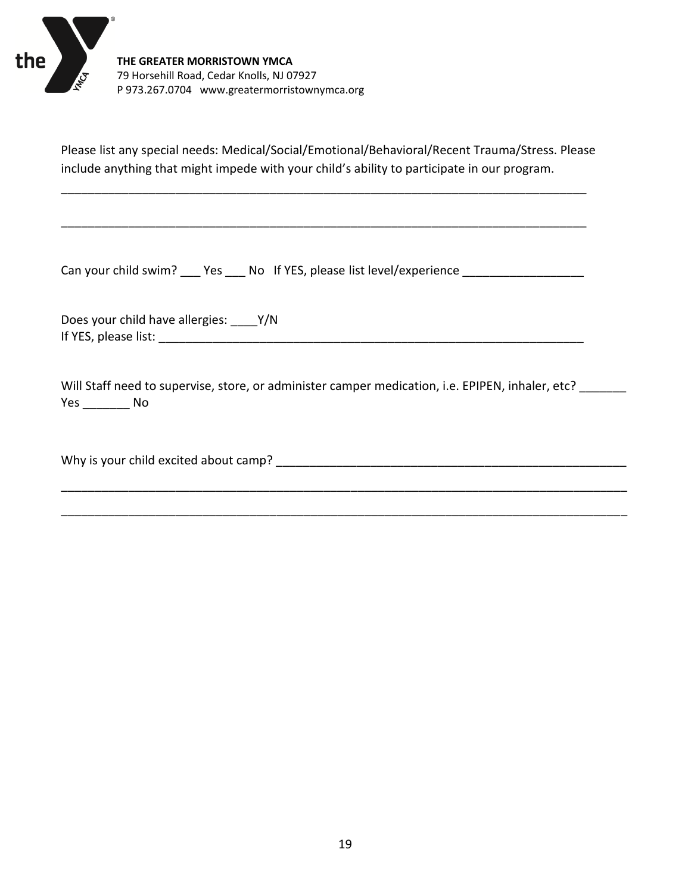

Please list any special needs: Medical/Social/Emotional/Behavioral/Recent Trauma/Stress. Please include anything that might impede with your child's ability to participate in our program.

\_\_\_\_\_\_\_\_\_\_\_\_\_\_\_\_\_\_\_\_\_\_\_\_\_\_\_\_\_\_\_\_\_\_\_\_\_\_\_\_\_\_\_\_\_\_\_\_\_\_\_\_\_\_\_\_\_\_\_\_\_\_\_\_\_\_\_\_\_\_\_\_\_\_\_\_\_\_

\_\_\_\_\_\_\_\_\_\_\_\_\_\_\_\_\_\_\_\_\_\_\_\_\_\_\_\_\_\_\_\_\_\_\_\_\_\_\_\_\_\_\_\_\_\_\_\_\_\_\_\_\_\_\_\_\_\_\_\_\_\_\_\_\_\_\_\_\_\_\_\_\_\_\_\_\_\_

Can your child swim? \_\_\_ Yes \_\_\_ No If YES, please list level/experience \_\_\_\_\_\_\_\_\_\_\_\_\_\_

Does your child have allergies: \_\_\_\_Y/N If YES, please list: \_\_\_\_\_\_\_\_\_\_\_\_\_\_\_\_\_\_\_\_\_\_\_\_\_\_\_\_\_\_\_\_\_\_\_\_\_\_\_\_\_\_\_\_\_\_\_\_\_\_\_\_\_\_\_\_\_\_\_\_\_\_\_

Will Staff need to supervise, store, or administer camper medication, i.e. EPIPEN, inhaler, etc? \_\_\_\_\_\_\_ Yes \_\_\_\_\_\_\_ No

\_\_\_\_\_\_\_\_\_\_\_\_\_\_\_\_\_\_\_\_\_\_\_\_\_\_\_\_\_\_\_\_\_\_\_\_\_\_\_\_\_\_\_\_\_\_\_\_\_\_\_\_\_\_\_\_\_\_\_\_\_\_\_\_\_\_\_\_\_\_\_\_\_\_\_\_\_\_\_\_\_\_\_\_

\_\_\_\_\_\_\_\_\_\_\_\_\_\_\_\_\_\_\_\_\_\_\_\_\_\_\_\_\_\_\_\_\_\_\_\_\_\_\_\_\_\_\_\_\_\_\_\_\_\_\_\_\_\_\_\_\_\_\_\_\_\_\_\_\_\_\_\_\_\_\_\_\_\_\_\_\_\_\_\_\_\_\_\_

Why is your child excited about camp? \_\_\_\_\_\_\_\_\_\_\_\_\_\_\_\_\_\_\_\_\_\_\_\_\_\_\_\_\_\_\_\_\_\_\_\_\_\_\_\_\_\_\_\_\_\_\_\_\_\_\_\_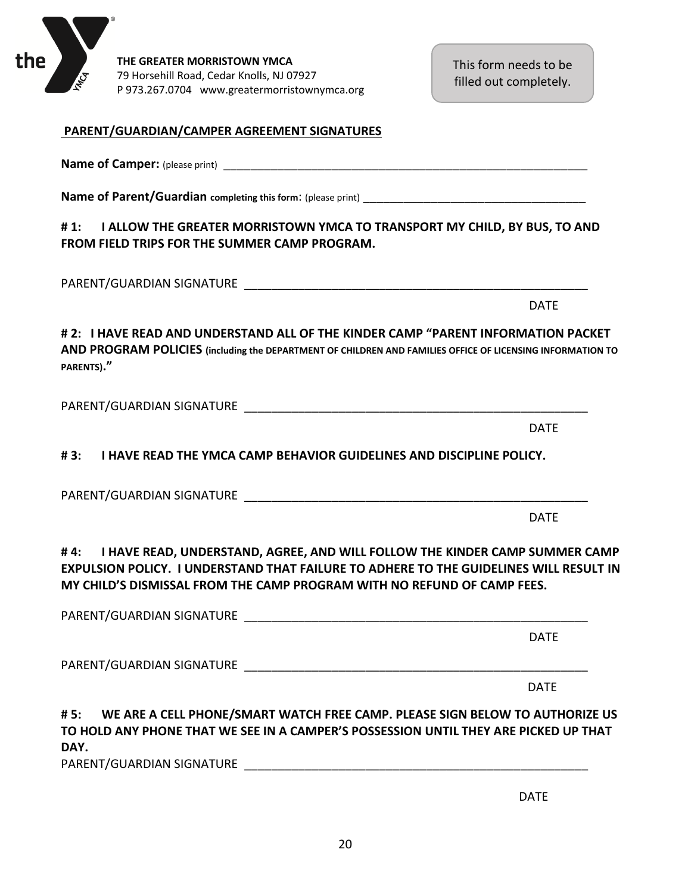

DATE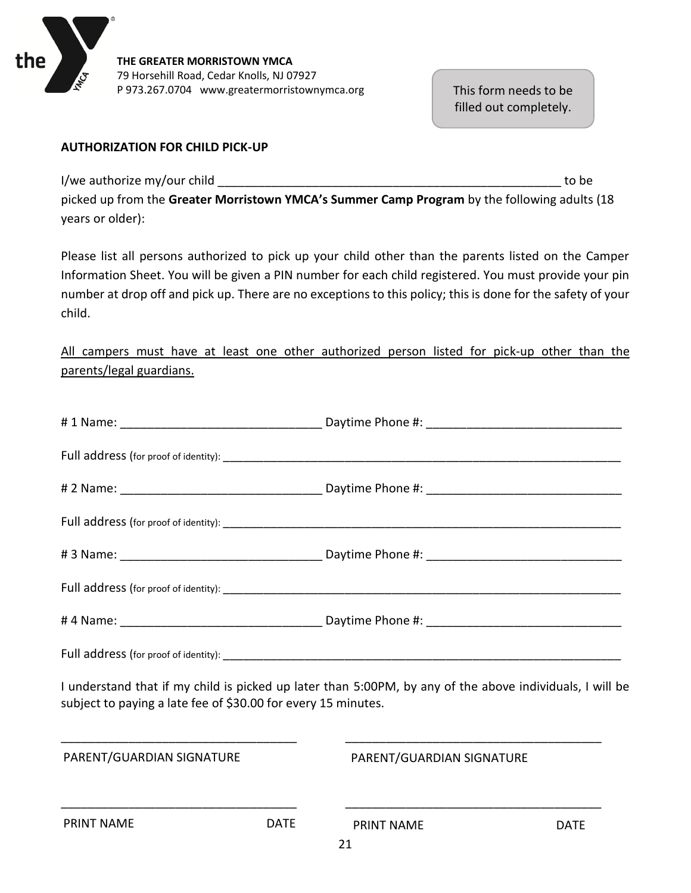

This form needs to be filled out completely.

#### **AUTHORIZATION FOR CHILD PICK-UP**

I/we authorize my/our child a state of the state of the state of the state of the state of the state of the state of the state of the state of the state of the state of the state of the state of the state of the state of t

picked up from the **Greater Morristown YMCA's Summer Camp Program** by the following adults (18 years or older):

Please list all persons authorized to pick up your child other than the parents listed on the Camper Information Sheet. You will be given a PIN number for each child registered. You must provide your pin number at drop off and pick up. There are no exceptions to this policy; this is done for the safety of your child.

All campers must have at least one other authorized person listed for pick-up other than the parents/legal guardians.

| I understand that if my child is picked up later than 5:00PM, by any of the above individuals, I will be<br>subject to paying a late fee of \$30.00 for every 15 minutes. |             |                                                                                          |             |
|---------------------------------------------------------------------------------------------------------------------------------------------------------------------------|-------------|------------------------------------------------------------------------------------------|-------------|
| PARENT/GUARDIAN SIGNATURE                                                                                                                                                 |             | <u> 1989 - Johann Stoff, amerikansk politiker (d. 1989)</u><br>PARENT/GUARDIAN SIGNATURE |             |
| <b>PRINT NAME</b>                                                                                                                                                         | <b>DATE</b> | <b>PRINT NAME</b>                                                                        | <b>DATE</b> |
|                                                                                                                                                                           |             | 21                                                                                       |             |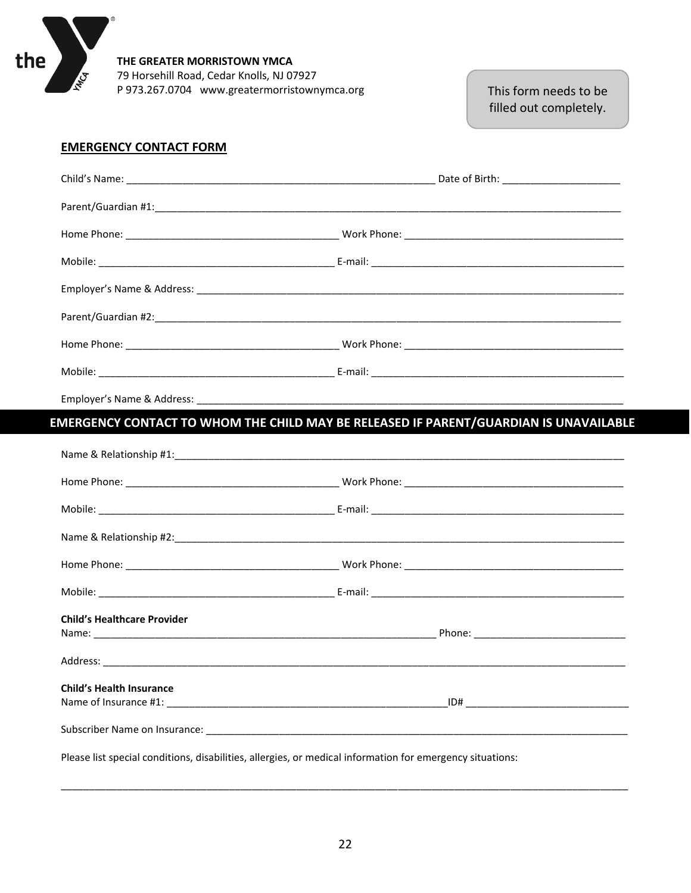

This form needs to be filled out completely.

#### **EMERGENCY CONTACT FORM**

 $^{\circ}$ 

|                                                                                                           | MERGENCY CONTACT TO WHOM THE CHILD MAY BE RELEASED IF PARENT/GUARDIAN IS UNAVAILABLE |
|-----------------------------------------------------------------------------------------------------------|--------------------------------------------------------------------------------------|
|                                                                                                           |                                                                                      |
|                                                                                                           |                                                                                      |
|                                                                                                           |                                                                                      |
|                                                                                                           |                                                                                      |
|                                                                                                           |                                                                                      |
|                                                                                                           |                                                                                      |
| <b>Child's Healthcare Provider</b>                                                                        |                                                                                      |
|                                                                                                           |                                                                                      |
| <b>Child's Health Insurance</b>                                                                           |                                                                                      |
|                                                                                                           |                                                                                      |
| Please list special conditions, disabilities, allergies, or medical information for emergency situations: |                                                                                      |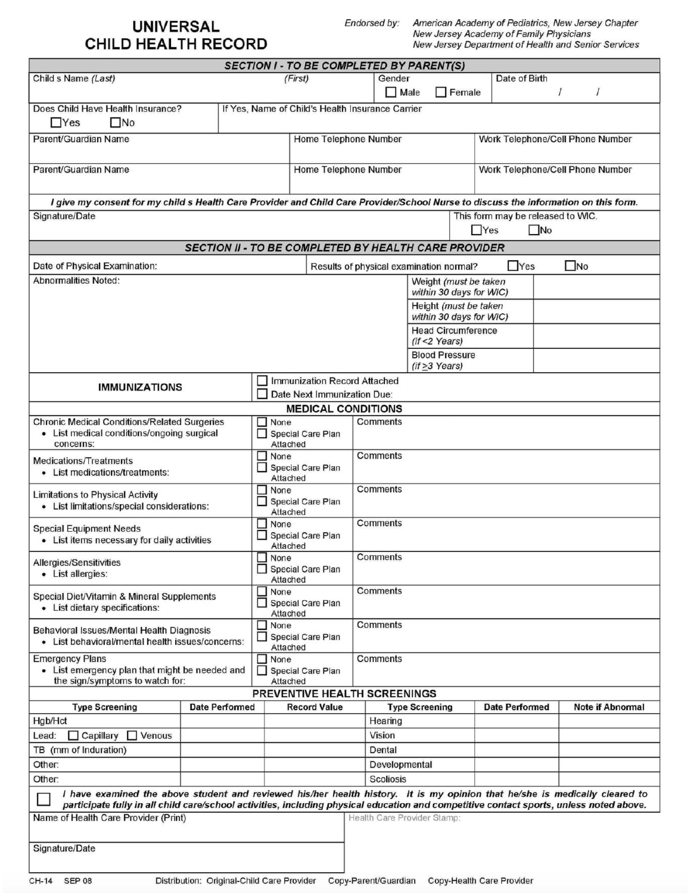## **UNIVERSAL CHILD HEALTH RECORD**

Endorsed by:

American Academy of Pediatrics, New Jersey Chapter New Jersey Academy of Family Physicians New Jersey Department of Health and Senior Services

|                                                                                                                                                                                                                                                                        |   | <b>SECTION I - TO BE COMPLETED BY PARENT(S)</b>  |                                                                                           |                                         |                             |                                                      |                       |          |                                  |
|------------------------------------------------------------------------------------------------------------------------------------------------------------------------------------------------------------------------------------------------------------------------|---|--------------------------------------------------|-------------------------------------------------------------------------------------------|-----------------------------------------|-----------------------------|------------------------------------------------------|-----------------------|----------|----------------------------------|
| (First)<br>Child s Name (Last)                                                                                                                                                                                                                                         |   |                                                  |                                                                                           | Date of Birth<br>Gender                 |                             |                                                      |                       |          |                                  |
|                                                                                                                                                                                                                                                                        |   |                                                  |                                                                                           | $\Box$ Male                             |                             | $\Box$ Female                                        |                       | $\prime$ | $\prime$                         |
| Does Child Have Health Insurance?                                                                                                                                                                                                                                      |   | If Yes, Name of Child's Health Insurance Carrier |                                                                                           |                                         |                             |                                                      |                       |          |                                  |
| $\square$ No<br>$\Box$ Yes                                                                                                                                                                                                                                             |   |                                                  |                                                                                           |                                         |                             |                                                      |                       |          |                                  |
| Parent/Guardian Name                                                                                                                                                                                                                                                   |   | Home Telephone Number                            |                                                                                           |                                         |                             |                                                      |                       |          | Work Telephone/Cell Phone Number |
|                                                                                                                                                                                                                                                                        |   |                                                  |                                                                                           |                                         |                             |                                                      |                       |          |                                  |
| Parent/Guardian Name                                                                                                                                                                                                                                                   |   | Home Telephone Number                            |                                                                                           |                                         |                             |                                                      |                       |          | Work Telephone/Cell Phone Number |
|                                                                                                                                                                                                                                                                        |   |                                                  |                                                                                           |                                         |                             |                                                      |                       |          |                                  |
|                                                                                                                                                                                                                                                                        |   |                                                  |                                                                                           |                                         |                             |                                                      |                       |          |                                  |
| I give my consent for my child s Health Care Provider and Child Care Provider/School Nurse to discuss the information on this form.                                                                                                                                    |   |                                                  |                                                                                           |                                         |                             |                                                      |                       |          |                                  |
| Signature/Date                                                                                                                                                                                                                                                         |   | This form may be released to WIC.                |                                                                                           |                                         |                             |                                                      |                       |          |                                  |
|                                                                                                                                                                                                                                                                        |   |                                                  | $\Box$ Yes<br>$\square$ No<br><b>SECTION II - TO BE COMPLETED BY HEALTH CARE PROVIDER</b> |                                         |                             |                                                      |                       |          |                                  |
|                                                                                                                                                                                                                                                                        |   |                                                  |                                                                                           |                                         |                             |                                                      |                       |          |                                  |
| Date of Physical Examination:                                                                                                                                                                                                                                          |   |                                                  |                                                                                           | Results of physical examination normal? |                             |                                                      | $\Box$ Yes            |          | $\square$ No                     |
| <b>Abnormalities Noted:</b>                                                                                                                                                                                                                                            |   |                                                  |                                                                                           |                                         |                             | Weight (must be taken                                |                       |          |                                  |
|                                                                                                                                                                                                                                                                        |   |                                                  |                                                                                           |                                         |                             | within 30 days for WIC)                              |                       |          |                                  |
|                                                                                                                                                                                                                                                                        |   |                                                  |                                                                                           |                                         |                             | Height (must be taken                                |                       |          |                                  |
|                                                                                                                                                                                                                                                                        |   |                                                  |                                                                                           |                                         |                             | within 30 days for WIC)<br><b>Head Circumference</b> |                       |          |                                  |
|                                                                                                                                                                                                                                                                        |   |                                                  |                                                                                           |                                         | $(if < 2 \text{ Years})$    |                                                      |                       |          |                                  |
|                                                                                                                                                                                                                                                                        |   |                                                  |                                                                                           |                                         |                             | <b>Blood Pressure</b>                                |                       |          |                                  |
|                                                                                                                                                                                                                                                                        |   |                                                  |                                                                                           |                                         | $(if \geq 3 \text{ Years})$ |                                                      |                       |          |                                  |
| <b>IMMUNIZATIONS</b>                                                                                                                                                                                                                                                   | П | <b>Immunization Record Attached</b>              |                                                                                           |                                         |                             |                                                      |                       |          |                                  |
|                                                                                                                                                                                                                                                                        |   | Date Next Immunization Due:                      |                                                                                           |                                         |                             |                                                      |                       |          |                                  |
|                                                                                                                                                                                                                                                                        |   | <b>MEDICAL CONDITIONS</b>                        |                                                                                           |                                         |                             |                                                      |                       |          |                                  |
| <b>Chronic Medical Conditions/Related Surgeries</b>                                                                                                                                                                                                                    |   | $\Box$ None<br>Special Care Plan                 |                                                                                           | Comments                                |                             |                                                      |                       |          |                                  |
| • List medical conditions/ongoing surgical<br>concerns:                                                                                                                                                                                                                |   | Attached                                         |                                                                                           |                                         |                             |                                                      |                       |          |                                  |
| <b>Medications/Treatments</b>                                                                                                                                                                                                                                          |   | $\Box$ None<br>Comments                          |                                                                                           |                                         |                             |                                                      |                       |          |                                  |
| • List medications/treatments:                                                                                                                                                                                                                                         |   | Special Care Plan                                |                                                                                           |                                         |                             |                                                      |                       |          |                                  |
|                                                                                                                                                                                                                                                                        |   | Attached<br>$\Box$ None                          | Comments                                                                                  |                                         |                             |                                                      |                       |          |                                  |
| <b>Limitations to Physical Activity</b>                                                                                                                                                                                                                                |   | Special Care Plan                                |                                                                                           |                                         |                             |                                                      |                       |          |                                  |
| • List limitations/special considerations:                                                                                                                                                                                                                             |   | Attached                                         |                                                                                           |                                         |                             |                                                      |                       |          |                                  |
| <b>Special Equipment Needs</b>                                                                                                                                                                                                                                         |   | $\Box$ None<br>Comments<br>Special Care Plan     |                                                                                           |                                         |                             |                                                      |                       |          |                                  |
| • List items necessary for daily activities                                                                                                                                                                                                                            |   | Attached                                         |                                                                                           |                                         |                             |                                                      |                       |          |                                  |
| Allergies/Sensitivities                                                                                                                                                                                                                                                |   | $\Box$ None                                      |                                                                                           | Comments                                |                             |                                                      |                       |          |                                  |
| • List allergies:                                                                                                                                                                                                                                                      |   | Special Care Plan                                |                                                                                           |                                         |                             |                                                      |                       |          |                                  |
|                                                                                                                                                                                                                                                                        |   | Attached<br>$\Box$ None                          |                                                                                           | Comments                                |                             |                                                      |                       |          |                                  |
| Special Diet/Vitamin & Mineral Supplements<br>• List dietary specifications:                                                                                                                                                                                           |   | Special Care Plan                                |                                                                                           |                                         |                             |                                                      |                       |          |                                  |
|                                                                                                                                                                                                                                                                        |   | Attached                                         |                                                                                           |                                         |                             |                                                      |                       |          |                                  |
| Behavioral Issues/Mental Health Diagnosis                                                                                                                                                                                                                              | ப | $\Box$ None<br><b>Special Care Plan</b>          |                                                                                           | Comments                                |                             |                                                      |                       |          |                                  |
| • List behavioral/mental health issues/concerns:                                                                                                                                                                                                                       |   | Attached                                         |                                                                                           |                                         |                             |                                                      |                       |          |                                  |
| <b>Emergency Plans</b>                                                                                                                                                                                                                                                 |   | $\Box$ None                                      |                                                                                           | Comments                                |                             |                                                      |                       |          |                                  |
| • List emergency plan that might be needed and                                                                                                                                                                                                                         |   | Special Care Plan                                |                                                                                           |                                         |                             |                                                      |                       |          |                                  |
| the sign/symptoms to watch for:                                                                                                                                                                                                                                        |   | Attached<br>PREVENTIVE HEALTH SCREENINGS         |                                                                                           |                                         |                             |                                                      |                       |          |                                  |
| <b>Date Performed</b><br><b>Type Screening</b>                                                                                                                                                                                                                         |   | <b>Record Value</b>                              |                                                                                           |                                         | <b>Type Screening</b>       |                                                      | <b>Date Performed</b> |          | <b>Note if Abnormal</b>          |
| Hgb/Hct                                                                                                                                                                                                                                                                |   |                                                  |                                                                                           | Hearing                                 |                             |                                                      |                       |          |                                  |
| $\Box$ Venous<br>Lead:<br>$\Box$ Capillary                                                                                                                                                                                                                             |   |                                                  |                                                                                           | Vision                                  |                             |                                                      |                       |          |                                  |
| TB (mm of Induration)                                                                                                                                                                                                                                                  |   |                                                  | Dental                                                                                    |                                         |                             |                                                      |                       |          |                                  |
| Other:                                                                                                                                                                                                                                                                 |   |                                                  |                                                                                           | Developmental                           |                             |                                                      |                       |          |                                  |
| Other:                                                                                                                                                                                                                                                                 |   |                                                  |                                                                                           | <b>Scoliosis</b>                        |                             |                                                      |                       |          |                                  |
|                                                                                                                                                                                                                                                                        |   |                                                  |                                                                                           |                                         |                             |                                                      |                       |          |                                  |
| I have examined the above student and reviewed his/her health history. It is my opinion that he/she is medically cleared to<br>participate fully in all child care/school activities, including physical education and competitive contact sports, unless noted above. |   |                                                  |                                                                                           |                                         |                             |                                                      |                       |          |                                  |
| Name of Health Care Provider (Print)                                                                                                                                                                                                                                   |   |                                                  |                                                                                           | Health Care Provider Stamp:             |                             |                                                      |                       |          |                                  |
|                                                                                                                                                                                                                                                                        |   |                                                  |                                                                                           |                                         |                             |                                                      |                       |          |                                  |
| Signature/Date                                                                                                                                                                                                                                                         |   |                                                  |                                                                                           |                                         |                             |                                                      |                       |          |                                  |
|                                                                                                                                                                                                                                                                        |   |                                                  |                                                                                           |                                         |                             |                                                      |                       |          |                                  |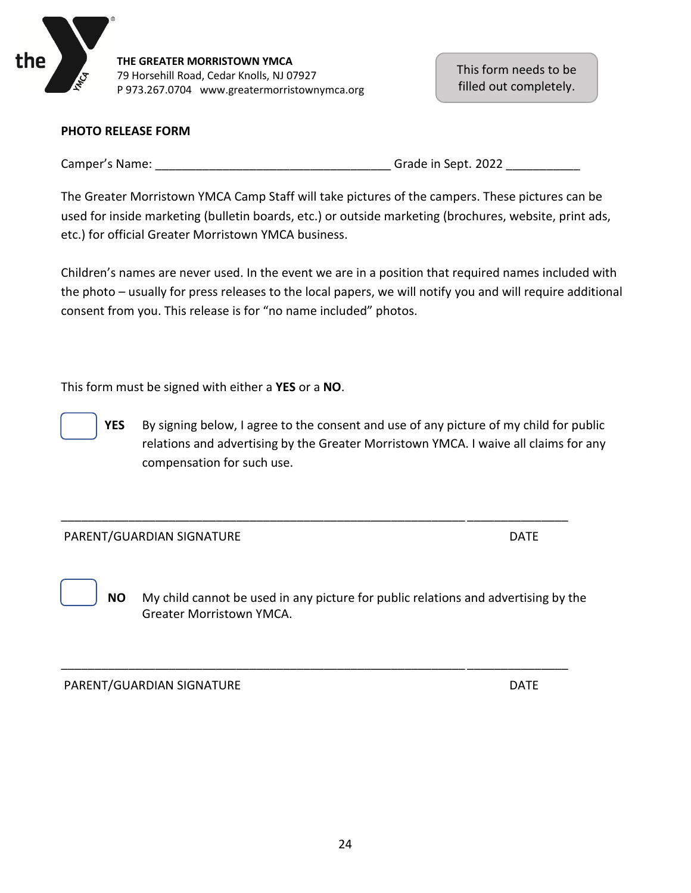

This form needs to be filled out completely.

#### **PHOTO RELEASE FORM**

Camper's Name: The Camper's Name: The Camper's Name: The Camper's Name: The Camper's Name: The Campen of the C

The Greater Morristown YMCA Camp Staff will take pictures of the campers. These pictures can be used for inside marketing (bulletin boards, etc.) or outside marketing (brochures, website, print ads, etc.) for official Greater Morristown YMCA business.

Children's names are never used. In the event we are in a position that required names included with the photo – usually for press releases to the local papers, we will notify you and will require additional consent from you. This release is for "no name included" photos.

This form must be signed with either a **YES** or a **NO**.

**YES** By signing below, I agree to the consent and use of any picture of my child for public relations and advertising by the Greater Morristown YMCA. I waive all claims for any compensation for such use.

#### PARENT/GUARDIAN SIGNATURE NATURE AND THE DATE

 **NO** My child cannot be used in any picture for public relations and advertising by the Greater Morristown YMCA.

\_\_\_\_\_\_\_\_\_\_\_\_\_\_\_\_\_\_\_\_\_\_\_\_\_\_\_\_\_\_\_\_\_\_\_\_\_\_\_\_\_\_\_\_\_\_\_\_\_\_\_\_\_\_\_\_\_\_\_\_ \_\_\_\_\_\_\_\_\_\_\_\_\_\_\_

\_\_\_\_\_\_\_\_\_\_\_\_\_\_\_\_\_\_\_\_\_\_\_\_\_\_\_\_\_\_\_\_\_\_\_\_\_\_\_\_\_\_\_\_\_\_\_\_\_\_\_\_\_\_\_\_\_\_\_\_ \_\_\_\_\_\_\_\_\_\_\_\_\_\_\_

PARENT/GUARDIAN SIGNATURE NATURE AND THE DATE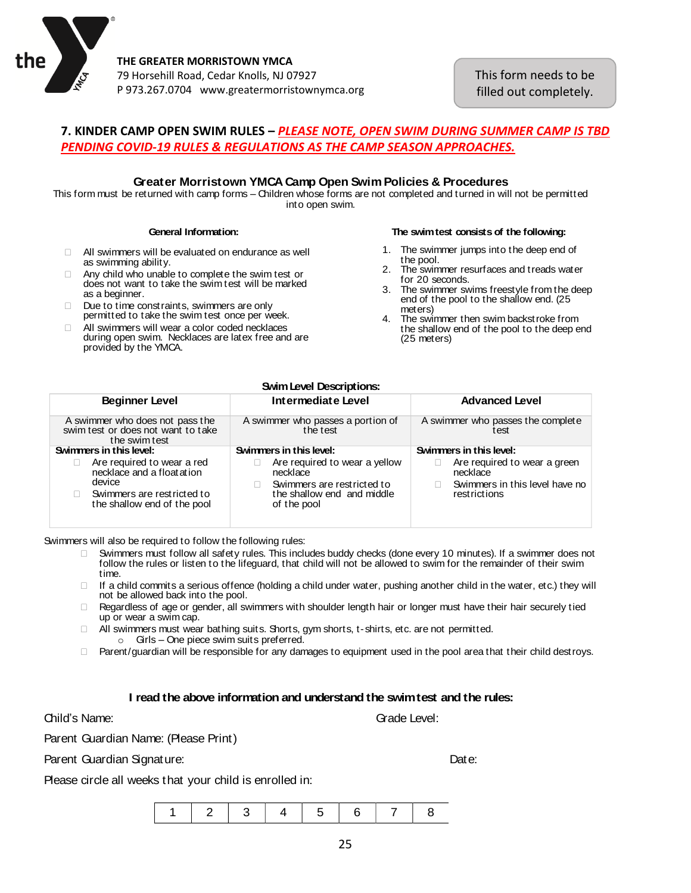

This form needs to be filled out completely.

#### **7. KINDER CAMP OPEN SWIM RULES –** *PLEASE NOTE, OPEN SWIM DURING SUMMER CAMP IS TBD PENDING COVID-19 RULES & REGULATIONS AS THE CAMP SEASON APPROACHES.*

#### **Greater Morristown YMCA Camp Open SwimPolicies & Procedures**

This form must be returned with camp forms – Children whose forms are not completed and turned in will not be permitted into open swim.

#### **General Information:**

- $\Box$  All swimmers will be evaluated on endurance as well as swimming ability.
- $\Box$  Any child who unable to complete the swim test or does not want to take the swim test will be marked as a beginner.
- Due to time constraints, swimmers are only permitted to take the swim test once per week.
- All swimmers will wear a color coded necklaces during open swim. Necklaces are latex free and are provided by the YMCA.

#### **The swimtest consists of the following:**

- 1. The swimmer jumps into the deep end of t he pool.
- 2. The swimmer resurfaces and treads water for 20 seconds.
- 3 . The swimmer swims freestyle from the deep end of the pool to the shallow end. (25 meters)
- 4. The swimmer then swim backstroke from the shallow end of the pool to the deep end (25 meters)

|                                                                                                                                  | <b>Swim Level Descriptions:</b>                                                                                      |                                                                                             |  |  |
|----------------------------------------------------------------------------------------------------------------------------------|----------------------------------------------------------------------------------------------------------------------|---------------------------------------------------------------------------------------------|--|--|
| <b>Beginner Level</b>                                                                                                            | Intermediate Level                                                                                                   | <b>Advanced Level</b>                                                                       |  |  |
| A swimmer who does not pass the<br>swim test or does not want to take<br>the swim test                                           | A swimmer who passes the complete<br>A swimmer who passes a portion of<br>the test<br>test                           |                                                                                             |  |  |
| Swimmers in this level:                                                                                                          | Swimmers in this level:                                                                                              | Swimmers in this level:                                                                     |  |  |
| Are required to wear a red<br>necklace and a float at ion<br>device<br>Swimmers are restricted to<br>the shallow end of the pool | Are required to wear a yellow<br>necklace<br>Swimmers are restricted to<br>the shallow end and middle<br>of the pool | Are required to wear a green<br>necklace<br>Swimmers in this level have no<br>rest rictions |  |  |

Swimmers will also be required to follow the following rules:

- Swimmers must follow all safety rules. This includes buddy checks (done every 10 minutes). If <sup>a</sup> swimmer does not follow the rules or listen to the lifeguard, that child will not be allowed to swim for the remainder of their swim t ime.
- $\Box$  If a child commits a serious offence (holding a child under water, pushing another child in the water, etc.) they will not be allowed back into the pool.
- $\Box$  Regardless of age or gender, all swimmers with shoulder length hair or longer must have their hair securely tied up or wear <sup>a</sup> swim cap.
- $\Box$  All swimmers must wear bathing suits. Shorts, gym shorts, t-shirts, etc. are not permitted. <sup>o</sup> Girls – One piece swim suits preferred.
- □ Parent/guardian will be responsible for any damages to equipment used in the pool area that their child destroys.

#### **I read the above information and understand the swimtest and the rules:**

Parent Guardian Name: (Please Print)

Parent Guardian Signature: Date:

Grade Level:

Please circle all weeks that your child is enrolled in:

|--|--|--|--|--|--|--|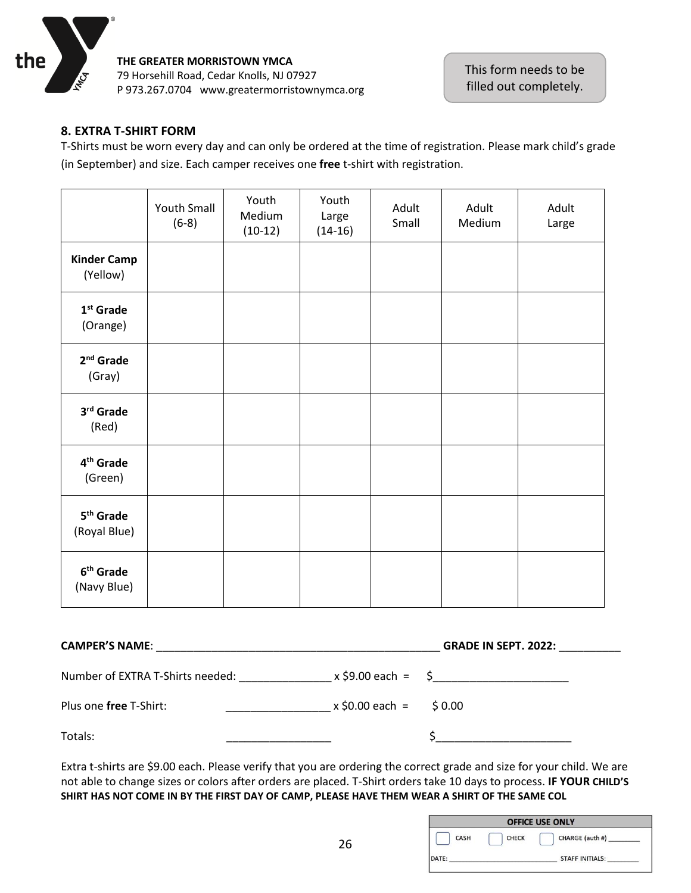

#### **8. EXTRA T-SHIRT FORM**

T-Shirts must be worn every day and can only be ordered at the time of registration. Please mark child's grade (in September) and size. Each camper receives one **free** t-shirt with registration.

|                                       | <b>Youth Small</b><br>$(6-8)$ | Youth<br>Medium<br>$(10-12)$ | Youth<br>Large<br>$(14-16)$ | Adult<br>Small | Adult<br>Medium | Adult<br>Large |
|---------------------------------------|-------------------------------|------------------------------|-----------------------------|----------------|-----------------|----------------|
| <b>Kinder Camp</b><br>(Yellow)        |                               |                              |                             |                |                 |                |
| $1st$ Grade<br>(Orange)               |                               |                              |                             |                |                 |                |
| $2nd$ Grade<br>(Gray)                 |                               |                              |                             |                |                 |                |
| 3rd Grade<br>(Red)                    |                               |                              |                             |                |                 |                |
| 4 <sup>th</sup> Grade<br>(Green)      |                               |                              |                             |                |                 |                |
| 5 <sup>th</sup> Grade<br>(Royal Blue) |                               |                              |                             |                |                 |                |
| 6 <sup>th</sup> Grade<br>(Navy Blue)  |                               |                              |                             |                |                 |                |

| <b>CAMPER'S NAME:</b>            |                               | <b>GRADE IN SEPT. 2022:</b> |  |
|----------------------------------|-------------------------------|-----------------------------|--|
| Number of EXTRA T-Shirts needed: |                               | $x$ \$9.00 each = \$        |  |
| Plus one free T-Shirt:           | $x \, \$0.00$ each = $\$0.00$ |                             |  |
| Totals:                          |                               |                             |  |

Extra t-shirts are \$9.00 each. Please verify that you are ordering the correct grade and size for your child. We are not able to change sizes or colors after orders are placed. T-Shirt orders take 10 days to process. **IF YOUR CHILD'S SHIRT HAS NOT COME IN BY THE FIRST DAY OF CAMP, PLEASE HAVE THEM WEAR A SHIRT OF THE SAME COL**

| <b>OFFICE USE ONLY</b> |      |              |                        |  |  |
|------------------------|------|--------------|------------------------|--|--|
|                        | CASH | <b>CHECK</b> | CHARGE (auth #)        |  |  |
| DATE:                  |      |              | <b>STAFF INITIALS:</b> |  |  |